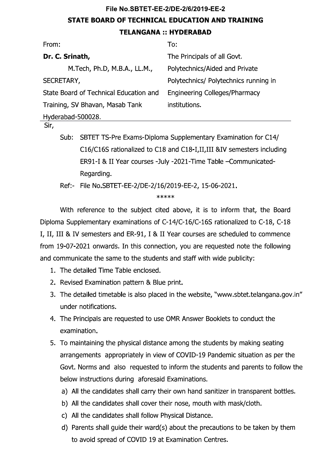# File No.SBTET-EE-2/DE-2/6/2019-EE-2 **STATE BOARD OF TECHNICAL EDUCATION AND TRAINING TELANGANA :: HYDERABAD**

| From:                                  | To:                                                           |
|----------------------------------------|---------------------------------------------------------------|
| Dr. C. Srinath,                        | The Principals of all Govt.                                   |
| M. Tech, Ph.D, M.B.A., LL.M.,          | Polytechnics/Aided and Private                                |
| SECRETARY,                             | Polytechnics/ Polytechnics running in                         |
| State Board of Technical Education and | Engineering Colleges/Pharmacy                                 |
| Training, SV Bhavan, Masab Tank        | institutions.                                                 |
| Hyderabad-500028.                      |                                                               |
| Sir,                                   |                                                               |
| Sub:                                   | SBTET TS-Pre Exams-Diploma Supplementary Examination for C14/ |

C16/C16S rationalized to C18 and C18-I, II, III &IV semesters including ER91-I & II Year courses -July -2021-Time Table -Communicated-Regarding.

Ref:- File No.SBTET-EE-2/DE-2/16/2019-EE-2, 15-06-2021.

\*\*\*\*\*

With reference to the subject cited above, it is to inform that, the Board Diploma Supplementary examinations of C-14/C-16/C-16S rationalized to C-18, C-18 I, II, III & IV semesters and ER-91, I & II Year courses are scheduled to commence from 19-07-2021 onwards. In this connection, you are requested note the following and communicate the same to the students and staff with wide publicity:

- 1. The detailed Time Table enclosed.
- 2. Revised Examination pattern & Blue print.
- 3. The detailed timetable is also placed in the website, "www sbtet telangana gov in" under notifications.
- 4. The Principals are requested to use OMR Answer Booklets to conduct the examination.
- 5. To maintaining the physical distance among the students by making seating arrangements appropriately in view of COVID-19 Pandemic situation as per the Govt. Norms and also requested to inform the students and parents to follow the below instructions during aforesaid Examinations.
	- a) All the candidates shall carry their own hand sanitizer in transparent bottles.
	- b) All the candidates shall cover their nose, mouth with mask/cloth.
	- c) All the candidates shall follow Physical Distance.
	- d) Parents shall guide their ward(s) about the precautions to be taken by them to avoid spread of COVID 19 at Examination Centres.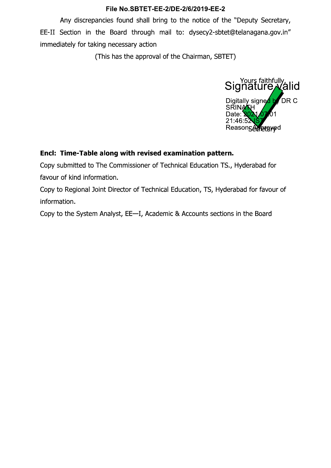Any discrepancies found shall bring to the notice of the "Deputy Secretary, EE-II Section in the Board through mail to: dysecy2-sbtet@telanagana.gov.in" immediately for taking necessary action

(This has the approval of the Chairman, SBTET)



# Encl: Time-Table along with revised examination pattern.

Copy submitted to The Commissioner of Technical Education TS., Hyderabad for favour of kind information.

Copy to Regional Joint Director of Technical Education, TS, Hyderabad for favour of information.

Copy to the System Analyst, EE-I, Academic & Accounts sections in the Board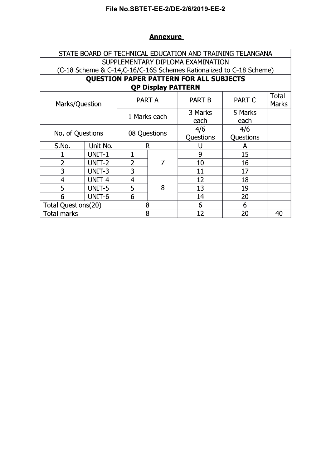#### **Annexure**

|                            |          | STATE BOARD OF TECHNICAL EDUCATION AND TRAINING TELANGANA |                           |                                                                     |               |                |  |
|----------------------------|----------|-----------------------------------------------------------|---------------------------|---------------------------------------------------------------------|---------------|----------------|--|
|                            |          |                                                           |                           | SUPPLEMENTARY DIPLOMA EXAMINATION                                   |               |                |  |
|                            |          |                                                           |                           | (C-18 Scheme & C-14,C-16/C-16S Schemes Rationalized to C-18 Scheme) |               |                |  |
|                            |          |                                                           |                           | <b>QUESTION PAPER PATTERN FOR ALL SUBJECTS</b>                      |               |                |  |
|                            |          |                                                           | <b>QP Display PATTERN</b> |                                                                     |               |                |  |
| Marks/Question             |          |                                                           | <b>PART A</b>             | <b>PART B</b>                                                       | <b>PART C</b> | Total<br>Marks |  |
|                            |          |                                                           | 1 Marks each              | 3 Marks                                                             | 5 Marks       |                |  |
|                            |          |                                                           |                           | each                                                                | each          |                |  |
| No. of Questions           |          |                                                           |                           | 4/6                                                                 | 4/6           |                |  |
|                            |          |                                                           | 08 Questions              | Questions                                                           | Questions     |                |  |
| S.No.                      | Unit No. |                                                           | R                         | U                                                                   | A             |                |  |
|                            | UNIT-1   |                                                           |                           | 9                                                                   | 15            |                |  |
| $\overline{2}$             | UNIT-2   | $\overline{2}$                                            | 7                         | 10                                                                  | 16            |                |  |
| 3                          | UNIT-3   | 3                                                         |                           | 11                                                                  | 17            |                |  |
| $\overline{4}$             | UNIT-4   | 4                                                         |                           | 12                                                                  | 18            |                |  |
| 5                          | UNIT-5   | 5                                                         | 8                         | 13                                                                  | 19            |                |  |
| 6                          | UNIT-6   | 6                                                         |                           | 14                                                                  | 20            |                |  |
| <b>Total Questions(20)</b> |          |                                                           | 8                         | 6                                                                   | 6             |                |  |
| <b>Total marks</b>         |          |                                                           | 8                         | 12                                                                  | 20            | 40             |  |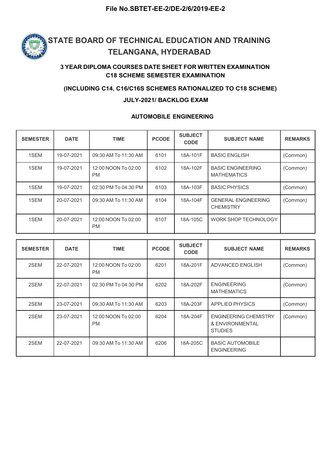

### 3 YEAR DIPLOMA COURSES DATE SHEET FOR WRITTEN EXAMINATION C18 SCHEME SEMESTER EXAMINATION

#### (INCLUDING C14, C16/C16S SCHEMES RATIONALIZED TO C18 SCHEME)

#### JULY-2021/ BACKLOG EXAM

#### AUTOMOBILE ENGINEERING

| <b>SEMESTER</b> | <b>DATE</b> | <b>TIME</b>                      | <b>PCODE</b> | <b>SUBJECT</b><br><b>CODE</b> | <b>SUBJECT NAME</b>                            | <b>REMARKS</b> |
|-----------------|-------------|----------------------------------|--------------|-------------------------------|------------------------------------------------|----------------|
| 1SEM            | 19-07-2021  | 09:30 AM To 11:30 AM             | 6101         | 18A-101F                      | <b>BASIC ENGLISH</b>                           | (Common)       |
| 1SEM            | 19-07-2021  | 12:00 NOON To 02:00<br><b>PM</b> | 6102         | 18A-102F                      | <b>BASIC ENGINEERING</b><br><b>MATHEMATICS</b> | (Common)       |
| 1SEM            | 19-07-2021  | 02:30 PM To 04:30 PM             | 6103         | 18A-103F                      | <b>BASIC PHYSICS</b>                           | (Common)       |
| 1SEM            | 20-07-2021  | 09:30 AM To 11:30 AM             | 6104         | 18A-104F                      | <b>GENERAL ENGINEERING</b><br><b>CHEMISTRY</b> | (Common)       |
| 1SEM            | 20-07-2021  | 12:00 NOON To 02:00<br><b>PM</b> | 6107         | 18A-105C                      | WORK SHOP TECHNOLOGY                           |                |

| <b>SEMESTER</b> | <b>DATE</b> | <b>TIME</b>                      | <b>PCODE</b> | <b>SUBJECT</b><br><b>CODE</b> | <b>SUBJECT NAME</b>                                               | <b>REMARKS</b> |
|-----------------|-------------|----------------------------------|--------------|-------------------------------|-------------------------------------------------------------------|----------------|
| 2SEM            | 22-07-2021  | 12:00 NOON To 02:00<br><b>PM</b> | 6201         | 18A-201F                      | ADVANCED ENGLISH                                                  | (Common)       |
| 2SEM            | 22-07-2021  | 02:30 PM To 04:30 PM             | 6202         | 18A-202F                      | <b>ENGINEERING</b><br><b>MATHEMATICS</b>                          | (Common)       |
| 2SEM            | 23-07-2021  | 09:30 AM To 11:30 AM             | 6203         | 18A-203F                      | <b>APPLIED PHYSICS</b>                                            | (Common)       |
| 2SEM            | 23-07-2021  | 12:00 NOON To 02:00<br><b>PM</b> | 6204         | 18A-204F                      | <b>ENGINEERING CHEMISTRY</b><br>& ENVIRONMENTAL<br><b>STUDIES</b> | (Common)       |
| 2SEM            | 22-07-2021  | 09:30 AM To 11:30 AM             | 6206         | 18A-205C                      | <b>BASIC AUTOMOBILE</b><br><b>ENGINEERING</b>                     |                |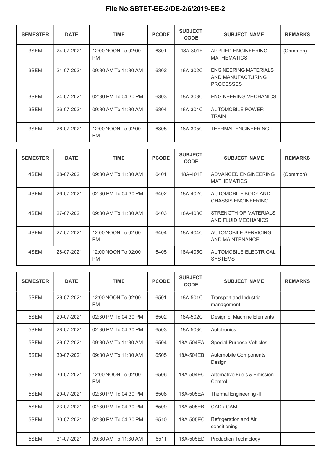| <b>SEMESTER</b> | <b>DATE</b> | <b>TIME</b>                      | <b>PCODE</b> | <b>SUBJECT</b><br><b>CODE</b> | <b>SUBJECT NAME</b>                                                   | <b>REMARKS</b> |
|-----------------|-------------|----------------------------------|--------------|-------------------------------|-----------------------------------------------------------------------|----------------|
| 3SEM            | 24-07-2021  | 12:00 NOON To 02:00<br><b>PM</b> | 6301         | 18A-301F                      | APPLIED ENGINEERING<br><b>MATHEMATICS</b>                             | (Common)       |
| 3SEM            | 24-07-2021  | 09:30 AM To 11:30 AM             | 6302         | 18A-302C                      | <b>ENGINEERING MATERIALS</b><br>AND MANUFACTURING<br><b>PROCESSES</b> |                |
| 3SEM            | 24-07-2021  | 02:30 PM To 04:30 PM             | 6303         | 18A-303C                      | <b>ENGINEERING MECHANICS</b>                                          |                |
| 3SEM            | 26-07-2021  | 09:30 AM To 11:30 AM             | 6304         | 18A-304C                      | <b>AUTOMOBILE POWER</b><br><b>TRAIN</b>                               |                |
| 3SEM            | 26-07-2021  | 12:00 NOON To 02:00<br><b>PM</b> | 6305         | 18A-305C                      | <b>THERMAL ENGINEERING-I</b>                                          |                |

| <b>SEMESTER</b> | <b>DATE</b> | <b>TIME</b>                      | <b>PCODE</b> | <b>SUBJECT</b><br><b>CODE</b> | <b>SUBJECT NAME</b>                               | <b>REMARKS</b> |
|-----------------|-------------|----------------------------------|--------------|-------------------------------|---------------------------------------------------|----------------|
| 4SEM            | 28-07-2021  | 09:30 AM To 11:30 AM             | 6401         | 18A-401F                      | ADVANCED ENGINEERING<br><b>MATHEMATICS</b>        | (Common)       |
| 4SEM            | 26-07-2021  | 02:30 PM To 04:30 PM             | 6402         | 18A-402C                      | AUTOMOBILE BODY AND<br><b>CHASSIS ENGINEERING</b> |                |
| 4SEM            | 27-07-2021  | 09:30 AM To 11:30 AM             | 6403         | 18A-403C                      | STRENGTH OF MATERIALS<br>AND FLUID MECHANICS      |                |
| 4SEM            | 27-07-2021  | 12:00 NOON To 02:00<br><b>PM</b> | 6404         | 18A-404C                      | AUTOMOBILE SERVICING<br>AND MAINTENANCE           |                |
| 4SEM            | 28-07-2021  | 12:00 NOON To 02:00<br><b>PM</b> | 6405         | 18A-405C                      | AUTOMOBILE ELECTRICAL<br><b>SYSTEMS</b>           |                |

| <b>SEMESTER</b> | <b>DATE</b> | <b>TIME</b>                      | <b>PCODE</b> | <b>SUBJECT</b><br><b>CODE</b> | <b>SUBJECT NAME</b>                     | <b>REMARKS</b> |
|-----------------|-------------|----------------------------------|--------------|-------------------------------|-----------------------------------------|----------------|
| 5SEM            | 29-07-2021  | 12:00 NOON To 02:00<br><b>PM</b> | 6501         | 18A-501C                      | Transport and Industrial<br>management  |                |
| 5SEM            | 29-07-2021  | 02:30 PM To 04:30 PM             | 6502         | 18A-502C                      | Design of Machine Elements              |                |
| 5SEM            | 28-07-2021  | 02:30 PM To 04:30 PM             | 6503         | 18A-503C                      | Autotronics                             |                |
| 5SEM            | 29-07-2021  | 09:30 AM To 11:30 AM             | 6504         | 18A-504EA                     | Special Purpose Vehicles                |                |
| 5SEM            | 30-07-2021  | 09:30 AM To 11:30 AM             | 6505         | 18A-504EB                     | Automobile Components<br>Design         |                |
| 5SEM            | 30-07-2021  | 12:00 NOON To 02:00<br><b>PM</b> | 6506         | 18A-504EC                     | Alternative Fuels & Emission<br>Control |                |
| 5SEM            | 20-07-2021  | 02:30 PM To 04:30 PM             | 6508         | 18A-505EA                     | Thermal Engineering -II                 |                |
| 5SEM            | 23-07-2021  | 02:30 PM To 04:30 PM             | 6509         | 18A-505EB                     | CAD / CAM                               |                |
| 5SEM            | 30-07-2021  | 02:30 PM To 04:30 PM             | 6510         | 18A-505EC                     | Refrigeration and Air<br>conditioning   |                |
| 5SEM            | 31-07-2021  | 09:30 AM To 11:30 AM             | 6511         | 18A-505ED                     | <b>Production Technology</b>            |                |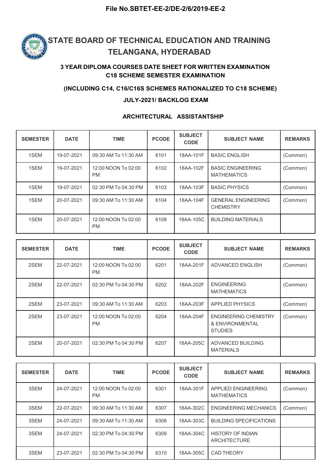

#### 3 YEAR DIPLOMA COURSES DATE SHEET FOR WRITTEN EXAMINATION C18 SCHEME SEMESTER EXAMINATION

#### (INCLUDING C14, C16/C16S SCHEMES RATIONALIZED TO C18 SCHEME)

#### JULY-2021/ BACKLOG EXAM

#### ARCHITECTURAL ASSISTANTSHIP

| <b>SEMESTER</b> | <b>DATE</b> | <b>TIME</b>                      | <b>PCODE</b> | <b>SUBJECT</b><br><b>CODE</b> | <b>SUBJECT NAME</b>                            | <b>REMARKS</b> |
|-----------------|-------------|----------------------------------|--------------|-------------------------------|------------------------------------------------|----------------|
| 1SEM            | 19-07-2021  | 09:30 AM To 11:30 AM             | 6101         | 18AA-101F                     | <b>BASIC ENGLISH</b>                           | (Common)       |
| 1SEM            | 19-07-2021  | 12:00 NOON To 02:00<br><b>PM</b> | 6102         | 18AA-102F                     | <b>BASIC ENGINEERING</b><br><b>MATHEMATICS</b> | (Common)       |
| 1SEM            | 19-07-2021  | 02:30 PM To 04:30 PM             | 6103         | 18AA-103F                     | <b>BASIC PHYSICS</b>                           | (Common)       |
| 1SEM            | 20-07-2021  | 09:30 AM To 11:30 AM             | 6104         | 18AA-104F                     | <b>GENERAL ENGINEERING</b><br><b>CHEMISTRY</b> | (Common)       |
| 1SEM            | 20-07-2021  | 12:00 NOON To 02:00<br><b>PM</b> | 6108         | 18AA-105C                     | <b>BUILDING MATERIALS</b>                      |                |

| <b>SEMESTER</b> | <b>DATE</b> | <b>TIME</b>                      | <b>PCODE</b> | <b>SUBJECT</b><br><b>CODE</b> | <b>SUBJECT NAME</b>                                               | <b>REMARKS</b> |
|-----------------|-------------|----------------------------------|--------------|-------------------------------|-------------------------------------------------------------------|----------------|
| 2SEM            | 22-07-2021  | 12:00 NOON To 02:00<br><b>PM</b> | 6201         | 18AA-201F                     | ADVANCED ENGLISH                                                  | (Common)       |
| 2SEM            | 22-07-2021  | 02:30 PM To 04:30 PM             | 6202         | 18AA-202F                     | <b>ENGINEERING</b><br><b>MATHEMATICS</b>                          | (Common)       |
| 2SEM            | 23-07-2021  | 09:30 AM To 11:30 AM             | 6203         | 18AA-203F                     | <b>APPLIED PHYSICS</b>                                            | (Common)       |
| 2SEM            | 23-07-2021  | 12:00 NOON To 02:00<br><b>PM</b> | 6204         | 18AA-204F                     | <b>ENGINEERING CHEMISTRY</b><br>& ENVIRONMENTAL<br><b>STUDIES</b> | (Common)       |
| 2SEM            | 20-07-2021  | 02:30 PM To 04:30 PM             | 6207         | 18AA-205C                     | ADVANCED BUILDING<br><b>MATERIALS</b>                             |                |

| <b>SEMESTER</b> | <b>DATE</b> | <b>TIME</b>                      | <b>PCODE</b> | <b>SUBJECT</b><br><b>CODE</b> | <b>SUBJECT NAME</b>                             | <b>REMARKS</b> |
|-----------------|-------------|----------------------------------|--------------|-------------------------------|-------------------------------------------------|----------------|
| 3SEM            | 24-07-2021  | 12:00 NOON To 02:00<br><b>PM</b> | 6301         | 18AA-301F                     | APPLIED ENGINEERING<br><b>MATHEMATICS</b>       | (Common)       |
| 3SEM            | 22-07-2021  | 09:30 AM To 11:30 AM             | 6307         | 18AA-302C                     | ENGINEERING MECHANICS                           | (Common)       |
| 3SEM            | 24-07-2021  | 09:30 AM To 11:30 AM             | 6308         | 18AA-303C                     | <b>BUILDING SPECIFICATIONS</b>                  |                |
| 3SEM            | 24-07-2021  | 02:30 PM To 04:30 PM             | 6309         | 18AA-304C                     | <b>HISTORY OF INDIAN</b><br><b>ARCHITECTURE</b> |                |
| 3SEM            | 23-07-2021  | 02:30 PM To 04:30 PM             | 6310         | 18AA-305C                     | <b>CAD THEORY</b>                               |                |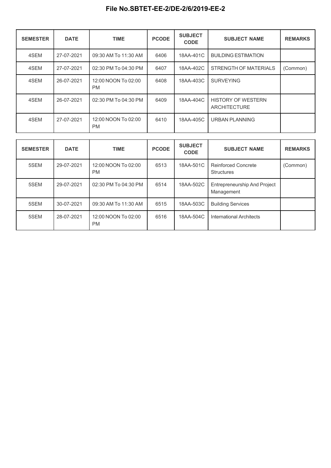| <b>SEMESTER</b> | <b>DATE</b> | <b>TIME</b>                      | <b>PCODE</b> | <b>SUBJECT</b><br><b>CODE</b> | <b>SUBJECT NAME</b>                              | <b>REMARKS</b> |
|-----------------|-------------|----------------------------------|--------------|-------------------------------|--------------------------------------------------|----------------|
| 4SEM            | 27-07-2021  | 09:30 AM To 11:30 AM             | 6406         | 18AA-401C                     | <b>BUILDING ESTIMATION</b>                       |                |
| 4SEM            | 27-07-2021  | 02:30 PM To 04:30 PM             | 6407         | 18AA-402C                     | STRENGTH OF MATERIALS                            | (Common)       |
| 4SEM            | 26-07-2021  | 12:00 NOON To 02:00<br><b>PM</b> | 6408         | 18AA-403C                     | <b>SURVEYING</b>                                 |                |
| 4SEM            | 26-07-2021  | 02:30 PM To 04:30 PM             | 6409         | 18AA-404C                     | <b>HISTORY OF WESTERN</b><br><b>ARCHITECTURE</b> |                |
| 4SEM            | 27-07-2021  | 12:00 NOON To 02:00<br><b>PM</b> | 6410         | 18AA-405C                     | <b>URBAN PLANNING</b>                            |                |

| <b>SEMESTER</b> | <b>DATE</b> | <b>TIME</b>                      | <b>PCODE</b> | <b>SUBJECT</b><br><b>CODE</b> | <b>SUBJECT NAME</b>                               | <b>REMARKS</b> |
|-----------------|-------------|----------------------------------|--------------|-------------------------------|---------------------------------------------------|----------------|
| 5SEM            | 29-07-2021  | 12:00 NOON To 02:00<br><b>PM</b> | 6513         | 18AA-501C                     | <b>Reinforced Concrete</b><br>Structures          | (Common)       |
| 5SEM            | 29-07-2021  | 02:30 PM To 04:30 PM             | 6514         | 18AA-502C                     | <b>Entrepreneurship And Project</b><br>Management |                |
| 5SEM            | 30-07-2021  | 09:30 AM To 11:30 AM             | 6515         | 18AA-503C                     | <b>Building Services</b>                          |                |
| 5SEM            | 28-07-2021  | 12:00 NOON To 02:00<br><b>PM</b> | 6516         | 18AA-504C                     | International Architects                          |                |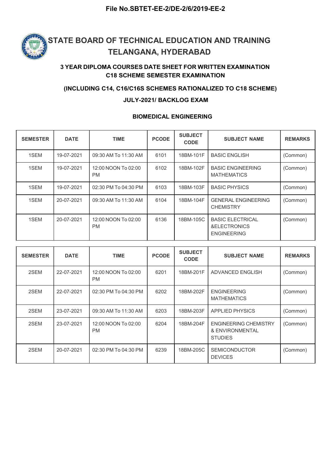

### 3 YEAR DIPLOMA COURSES DATE SHEET FOR WRITTEN EXAMINATION C18 SCHEME SEMESTER EXAMINATION

#### (INCLUDING C14, C16/C16S SCHEMES RATIONALIZED TO C18 SCHEME)

#### JULY-2021/ BACKLOG EXAM

#### BIOMEDICAL ENGINEERING

| <b>SEMESTER</b> | <b>DATE</b> | <b>TIME</b>                      | <b>PCODE</b> | <b>SUBJECT</b><br><b>CODE</b> | <b>SUBJECT NAME</b>                                           | <b>REMARKS</b> |
|-----------------|-------------|----------------------------------|--------------|-------------------------------|---------------------------------------------------------------|----------------|
| 1SEM            | 19-07-2021  | 09:30 AM To 11:30 AM             | 6101         | 18BM-101F                     | <b>BASIC ENGLISH</b>                                          | (Common)       |
| 1SEM            | 19-07-2021  | 12:00 NOON To 02:00<br><b>PM</b> | 6102         | 18BM-102F                     | <b>BASIC ENGINEERING</b><br><b>MATHEMATICS</b>                | (Common)       |
| 1SEM            | 19-07-2021  | 02:30 PM To 04:30 PM             | 6103         | 18BM-103F                     | <b>BASIC PHYSICS</b>                                          | (Common)       |
| 1SEM            | 20-07-2021  | 09:30 AM To 11:30 AM             | 6104         | 18BM-104F                     | <b>GENERAL ENGINEERING</b><br><b>CHEMISTRY</b>                | (Common)       |
| 1SEM            | 20-07-2021  | 12:00 NOON To 02:00<br><b>PM</b> | 6136         | 18BM-105C                     | <b>BASIC ELECTRICAL</b><br>&ELECTRONICS<br><b>ENGINEERING</b> | (Common)       |

| <b>SEMESTER</b> | <b>DATE</b> | <b>TIME</b>                      | <b>PCODE</b> | <b>SUBJECT</b><br><b>CODE</b> | <b>SUBJECT NAME</b>                                               | <b>REMARKS</b> |
|-----------------|-------------|----------------------------------|--------------|-------------------------------|-------------------------------------------------------------------|----------------|
| 2SEM            | 22-07-2021  | 12:00 NOON To 02:00<br><b>PM</b> | 6201         | 18BM-201F                     | ADVANCED ENGLISH                                                  | (Common)       |
| 2SEM            | 22-07-2021  | 02:30 PM To 04:30 PM             | 6202         | 18BM-202F                     | <b>ENGINEERING</b><br><b>MATHEMATICS</b>                          | (Common)       |
| 2SEM            | 23-07-2021  | 09:30 AM To 11:30 AM             | 6203         | 18BM-203F                     | <b>APPLIED PHYSICS</b>                                            | (Common)       |
| 2SEM            | 23-07-2021  | 12:00 NOON To 02:00<br><b>PM</b> | 6204         | 18BM-204F                     | <b>ENGINEERING CHEMISTRY</b><br>& ENVIRONMENTAL<br><b>STUDIES</b> | (Common)       |
| 2SEM            | 20-07-2021  | 02:30 PM To 04:30 PM             | 6239         | 18BM-205C                     | <b>SEMICONDUCTOR</b><br><b>DEVICES</b>                            | (Common)       |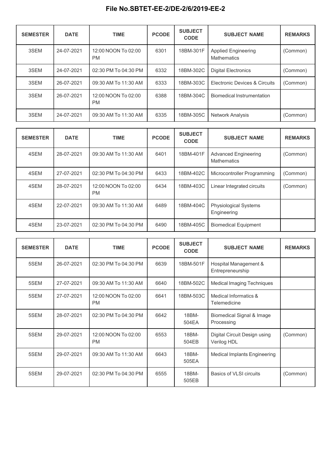| <b>SEMESTER</b> | <b>DATE</b> | <b>TIME</b>                      | <b>PCODE</b> | <b>SUBJECT</b><br><b>CODE</b> | <b>SUBJECT NAME</b>                       | <b>REMARKS</b> |
|-----------------|-------------|----------------------------------|--------------|-------------------------------|-------------------------------------------|----------------|
| 3SEM            | 24-07-2021  | 12:00 NOON To 02:00<br><b>PM</b> | 6301         | 18BM-301F                     | <b>Applied Engineering</b><br>Mathematics | (Common)       |
| 3SEM            | 24-07-2021  | 02:30 PM To 04:30 PM             | 6332         | 18BM-302C                     | <b>Digital Electronics</b>                | (Common)       |
| 3SEM            | 26-07-2021  | 09:30 AM To 11:30 AM             | 6333         | 18BM-303C                     | Electronic Devices & Circuits             | (Common)       |
| 3SEM            | 26-07-2021  | 12:00 NOON To 02:00<br><b>PM</b> | 6388         | 18BM-304C                     | Biomedical Instrumentation                |                |
| 3SEM            | 24-07-2021  | 09:30 AM To 11:30 AM             | 6335         | 18BM-305C                     | <b>Network Analysis</b>                   | (Common)       |

| <b>SEMESTER</b> | <b>DATE</b> | <b>TIME</b>                      | <b>PCODE</b> | <b>SUBJECT</b><br><b>CODE</b> | <b>SUBJECT NAME</b>                         | <b>REMARKS</b> |
|-----------------|-------------|----------------------------------|--------------|-------------------------------|---------------------------------------------|----------------|
| 4SEM            | 28-07-2021  | 09:30 AM To 11:30 AM             | 6401         | 18BM-401F                     | <b>Advanced Engineering</b><br>Mathematics  | (Common)       |
| 4SEM            | 27-07-2021  | 02:30 PM To 04:30 PM             | 6433         | 18BM-402C                     | Microcontroller Programming                 | (Common)       |
| 4SEM            | 28-07-2021  | 12:00 NOON To 02:00<br><b>PM</b> | 6434         | 18BM-403C                     | Linear Integrated circuits                  | (Common)       |
| 4SEM            | 22-07-2021  | 09:30 AM To 11:30 AM             | 6489         | 18BM-404C                     | <b>Physiological Systems</b><br>Engineering |                |
| 4SEM            | 23-07-2021  | 02:30 PM To 04:30 PM             | 6490         | 18BM-405C                     | <b>Biomedical Equipment</b>                 |                |

| <b>SEMESTER</b> | <b>DATE</b> | <b>TIME</b>                      | <b>PCODE</b> | <b>SUBJECT</b><br><b>CODE</b> | <b>SUBJECT NAME</b>                         | <b>REMARKS</b> |
|-----------------|-------------|----------------------------------|--------------|-------------------------------|---------------------------------------------|----------------|
| 5SEM            | 26-07-2021  | 02:30 PM To 04:30 PM             | 6639         | 18BM-501F                     | Hospital Management &<br>Entrepreneurship   |                |
| 5SEM            | 27-07-2021  | 09:30 AM To 11:30 AM             | 6640         | 18BM-502C                     | <b>Medical Imaging Techniques</b>           |                |
| 5SEM            | 27-07-2021  | 12:00 NOON To 02:00<br><b>PM</b> | 6641         | 18BM-503C                     | Medical Informatics &<br>Telemedicine       |                |
| 5SEM            | 28-07-2021  | 02:30 PM To 04:30 PM             | 6642         | 18BM-<br>504EA                | Biomedical Signal & Image<br>Processing     |                |
| 5SEM            | 29-07-2021  | 12:00 NOON To 02:00<br><b>PM</b> | 6553         | 18BM-<br>504EB                | Digital Circuit Design using<br>Verilog HDL | (Common)       |
| 5SEM            | 29-07-2021  | 09:30 AM To 11:30 AM             | 6643         | 18BM-<br>505EA                | <b>Medical Implants Engineering</b>         |                |
| 5SEM            | 29-07-2021  | 02:30 PM To 04:30 PM             | 6555         | 18BM-<br>505EB                | Basics of VLSI circuits                     | (Common)       |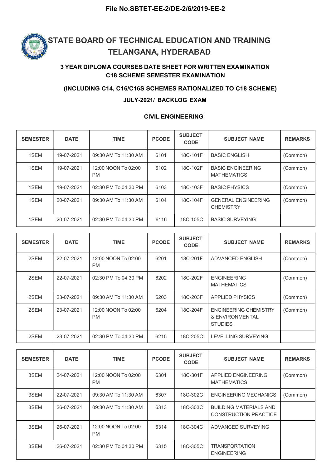

#### 3 YEAR DIPLOMA COURSES DATE SHEET FOR WRITTEN EXAMINATION C18 SCHEME SEMESTER EXAMINATION

#### (INCLUDING C14, C16/C16S SCHEMES RATIONALIZED TO C18 SCHEME)

#### JULY-2021/ BACKLOG EXAM

#### CIVIL ENGINEERING

| <b>SEMESTER</b> | <b>DATE</b> | <b>TIME</b>                      | <b>PCODE</b> | <b>SUBJECT</b><br><b>CODE</b> | <b>SUBJECT NAME</b>                            | <b>REMARKS</b> |
|-----------------|-------------|----------------------------------|--------------|-------------------------------|------------------------------------------------|----------------|
| 1SEM            | 19-07-2021  | 09:30 AM To 11:30 AM             | 6101         | 18C-101F                      | <b>BASIC ENGLISH</b>                           | (Common)       |
| 1SEM            | 19-07-2021  | 12:00 NOON To 02:00<br><b>PM</b> | 6102         | 18C-102F                      | <b>BASIC ENGINEERING</b><br><b>MATHEMATICS</b> | (Common)       |
| 1SEM            | 19-07-2021  | 02:30 PM To 04:30 PM             | 6103         | 18C-103F                      | <b>BASIC PHYSICS</b>                           | (Common)       |
| 1SEM            | 20-07-2021  | 09:30 AM To 11:30 AM             | 6104         | 18C-104F                      | <b>GENERAL ENGINEERING</b><br><b>CHEMISTRY</b> | (Common)       |
| 1SEM            | 20-07-2021  | 02:30 PM To 04:30 PM             | 6116         | 18C-105C                      | <b>BASIC SURVEYING</b>                         |                |

| <b>SEMESTER</b> | <b>DATE</b> | <b>TIME</b>                      | <b>PCODE</b> | <b>SUBJECT</b><br><b>CODE</b> | <b>SUBJECT NAME</b>                                               | <b>REMARKS</b> |
|-----------------|-------------|----------------------------------|--------------|-------------------------------|-------------------------------------------------------------------|----------------|
| 2SEM            | 22-07-2021  | 12:00 NOON To 02:00<br><b>PM</b> | 6201         | 18C-201F                      | ADVANCED ENGLISH                                                  | (Common)       |
| 2SEM            | 22-07-2021  | 02:30 PM To 04:30 PM             | 6202         | 18C-202F                      | <b>ENGINEERING</b><br><b>MATHEMATICS</b>                          | (Common)       |
| 2SEM            | 23-07-2021  | 09:30 AM To 11:30 AM             | 6203         | 18C-203F                      | <b>APPLIED PHYSICS</b>                                            | (Common)       |
| 2SEM            | 23-07-2021  | 12:00 NOON To 02:00<br><b>PM</b> | 6204         | 18C-204F                      | <b>ENGINEERING CHEMISTRY</b><br>& ENVIRONMENTAL<br><b>STUDIES</b> | (Common)       |
| 2SEM            | 23-07-2021  | 02:30 PM To 04:30 PM             | 6215         | 18C-205C                      | LEVELLING SURVEYING                                               |                |

| <b>SEMESTER</b> | <b>DATE</b> | <b>TIME</b>                      | <b>PCODE</b> | <b>SUBJECT</b><br><b>CODE</b> | <b>SUBJECT NAME</b>                                           | <b>REMARKS</b> |
|-----------------|-------------|----------------------------------|--------------|-------------------------------|---------------------------------------------------------------|----------------|
| 3SEM            | 24-07-2021  | 12:00 NOON To 02:00<br><b>PM</b> | 6301         | 18C-301F                      | APPLIED ENGINEERING<br><b>MATHEMATICS</b>                     | (Common)       |
| 3SEM            | 22-07-2021  | 09:30 AM To 11:30 AM             | 6307         | 18C-302C                      | <b>ENGINEERING MECHANICS</b>                                  | (Common)       |
| 3SEM            | 26-07-2021  | 09:30 AM To 11:30 AM             | 6313         | 18C-303C                      | <b>BUILDING MATERIALS AND</b><br><b>CONSTRUCTION PRACTICE</b> |                |
| 3SEM            | 26-07-2021  | 12:00 NOON To 02:00<br><b>PM</b> | 6314         | 18C-304C                      | ADVANCED SURVEYING                                            |                |
| 3SEM            | 26-07-2021  | 02:30 PM To 04:30 PM             | 6315         | 18C-305C                      | <b>TRANSPORTATION</b><br><b>ENGINEERING</b>                   |                |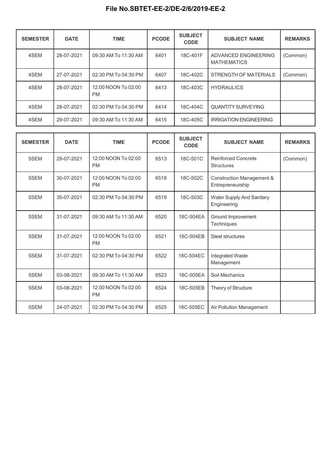| <b>SEMESTER</b> | <b>DATE</b> | <b>TIME</b>                      | <b>PCODE</b> | <b>SUBJECT</b><br><b>CODE</b> | <b>SUBJECT NAME</b>                        | <b>REMARKS</b> |
|-----------------|-------------|----------------------------------|--------------|-------------------------------|--------------------------------------------|----------------|
| 4SEM            | 28-07-2021  | 09:30 AM To 11:30 AM             | 6401         | 18C-401F                      | ADVANCED ENGINEERING<br><b>MATHEMATICS</b> | (Common)       |
| 4SEM            | 27-07-2021  | 02:30 PM To 04:30 PM             | 6407         | 18C-402C                      | STRENGTH OF MATERIALS                      | (Common)       |
| 4SEM            | 28-07-2021  | 12:00 NOON To 02:00<br><b>PM</b> | 6413         | 18C-403C                      | <b>HYDRAULICS</b>                          |                |
| 4SEM            | 28-07-2021  | 02:30 PM To 04:30 PM             | 6414         | 18C-404C                      | <b>QUANTITY SURVEYING</b>                  |                |
| 4SEM            | 29-07-2021  | 09:30 AM To 11:30 AM             | 6415         | 18C-405C                      | <b>IRRIGATION ENGINEERING</b>              |                |

| <b>SEMESTER</b> | <b>DATE</b> | <b>TIME</b>                      | <b>PCODE</b> | <b>SUBJECT</b><br><b>CODE</b> | <b>SUBJECT NAME</b>                                      | <b>REMARKS</b> |
|-----------------|-------------|----------------------------------|--------------|-------------------------------|----------------------------------------------------------|----------------|
| 5SEM            | 29-07-2021  | 12:00 NOON To 02:00<br><b>PM</b> | 6513         | 18C-501C                      | <b>Reinforced Concrete</b><br><b>Structures</b>          | (Common)       |
| 5SEM            | 30-07-2021  | 12:00 NOON To 02:00<br><b>PM</b> | 6518         | 18C-502C                      | <b>Construction Management &amp;</b><br>Entrepreneurship |                |
| 5SEM            | 30-07-2021  | 02:30 PM To 04:30 PM             | 6519         | 18C-503C                      | Water Supply And Sanitary<br>Engineering                 |                |
| 5SEM            | 31-07-2021  | 09:30 AM To 11:30 AM             | 6520         | 18C-504EA                     | Ground Improvement<br>Techniques                         |                |
| 5SEM            | 31-07-2021  | 12:00 NOON To 02:00<br><b>PM</b> | 6521         | 18C-504EB                     | Steel structures                                         |                |
| 5SEM            | 31-07-2021  | 02:30 PM To 04:30 PM             | 6522         | 18C-504EC                     | Integrated Waste<br>Management                           |                |
| 5SEM            | 03-08-2021  | 09:30 AM To 11:30 AM             | 6523         | 18C-505EA                     | Soil Mechanics                                           |                |
| 5SEM            | 03-08-2021  | 12:00 NOON To 02:00<br><b>PM</b> | 6524         | 18C-505EB                     | Theory of Structure                                      |                |
| 5SEM            | 24-07-2021  | 02:30 PM To 04:30 PM             | 6525         | 18C-505EC                     | Air Pollution Management                                 |                |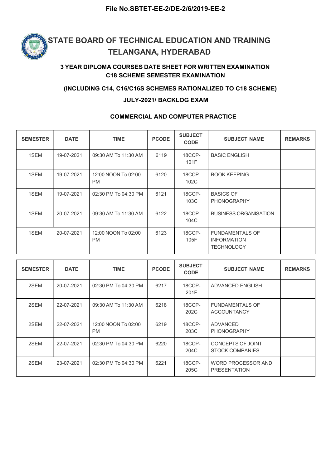

### 3 YEAR DIPLOMA COURSES DATE SHEET FOR WRITTEN EXAMINATION C18 SCHEME SEMESTER EXAMINATION

#### (INCLUDING C14, C16/C16S SCHEMES RATIONALIZED TO C18 SCHEME)

#### JULY-2021/ BACKLOG EXAM

#### COMMERCIAL AND COMPUTER PRACTICE

| <b>SEMESTER</b> | <b>DATE</b> | <b>TIME</b>                      | <b>PCODE</b> | <b>SUBJECT</b><br><b>CODE</b> | <b>SUBJECT NAME</b>                                               | <b>REMARKS</b> |
|-----------------|-------------|----------------------------------|--------------|-------------------------------|-------------------------------------------------------------------|----------------|
| 1SEM            | 19-07-2021  | 09:30 AM To 11:30 AM             | 6119         | 18CCP-<br>101F                | <b>BASIC ENGLISH</b>                                              |                |
| 1SEM            | 19-07-2021  | 12:00 NOON To 02:00<br><b>PM</b> | 6120         | 18CCP-<br>102C                | <b>BOOK KEEPING</b>                                               |                |
| 1SEM            | 19-07-2021  | 02:30 PM To 04:30 PM             | 6121         | 18CCP-<br>103C                | <b>BASICS OF</b><br><b>PHONOGRAPHY</b>                            |                |
| 1SEM            | 20-07-2021  | 09:30 AM To 11:30 AM             | 6122         | 18CCP-<br>104C                | <b>BUSINESS ORGANISATION</b>                                      |                |
| 1SEM            | 20-07-2021  | 12:00 NOON To 02:00<br><b>PM</b> | 6123         | 18CCP-<br>105F                | <b>FUNDAMENTALS OF</b><br><b>INFORMATION</b><br><b>TECHNOLOGY</b> |                |

| <b>SEMESTER</b> | <b>DATE</b> | <b>TIME</b>                      | <b>PCODE</b> | <b>SUBJECT</b><br><b>CODE</b> | <b>SUBJECT NAME</b>                          | <b>REMARKS</b> |
|-----------------|-------------|----------------------------------|--------------|-------------------------------|----------------------------------------------|----------------|
| 2SEM            | 20-07-2021  | 02:30 PM To 04:30 PM             | 6217         | 18CCP-<br>201F                | ADVANCED ENGLISH                             |                |
| 2SEM            | 22-07-2021  | 09:30 AM To 11:30 AM             | 6218         | 18CCP-<br>202C                | <b>FUNDAMENTALS OF</b><br><b>ACCOUNTANCY</b> |                |
| 2SEM            | 22-07-2021  | 12:00 NOON To 02:00<br><b>PM</b> | 6219         | 18CCP-<br>203C                | ADVANCED<br><b>PHONOGRAPHY</b>               |                |
| 2SEM            | 22-07-2021  | 02:30 PM To 04:30 PM             | 6220         | 18CCP-<br>204C                | CONCEPTS OF JOINT<br><b>STOCK COMPANIES</b>  |                |
| 2SEM            | 23-07-2021  | 02:30 PM To 04:30 PM             | 6221         | 18CCP-<br>205C                | WORD PROCESSOR AND<br><b>PRESENTATION</b>    |                |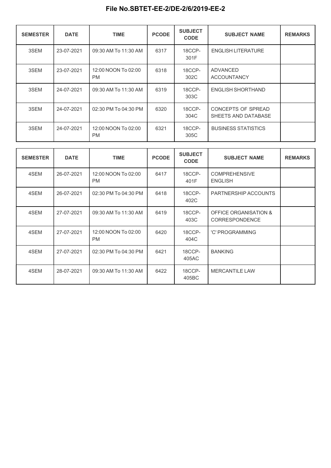| <b>SEMESTER</b> | <b>DATE</b> | <b>TIME</b>                      | <b>PCODE</b> | <b>SUBJECT</b><br><b>CODE</b> | <b>SUBJECT NAME</b>                       | <b>REMARKS</b> |
|-----------------|-------------|----------------------------------|--------------|-------------------------------|-------------------------------------------|----------------|
| 3SEM            | 23-07-2021  | 09:30 AM To 11:30 AM             | 6317         | 18CCP-<br>301F                | <b>ENGLISH LITERATURE</b>                 |                |
| 3SEM            | 23-07-2021  | 12:00 NOON To 02:00<br><b>PM</b> | 6318         | 18CCP-<br>302C                | <b>ADVANCED</b><br><b>ACCOUNTANCY</b>     |                |
| 3SEM            | 24-07-2021  | 09:30 AM To 11:30 AM             | 6319         | 18CCP-<br>303C                | ENGLISH SHORTHAND                         |                |
| 3SEM            | 24-07-2021  | 02:30 PM To 04:30 PM             | 6320         | 18CCP-<br>304C                | CONCEPTS OF SPREAD<br>SHEETS AND DATABASE |                |
| 3SEM            | 24-07-2021  | 12:00 NOON To 02:00<br><b>PM</b> | 6321         | 18CCP-<br>305C                | <b>BUSINESS STATISTICS</b>                |                |

| <b>SEMESTER</b> | <b>DATE</b> | <b>TIME</b>                      | <b>PCODE</b> | <b>SUBJECT</b><br><b>CODE</b> | <b>SUBJECT NAME</b>                     | <b>REMARKS</b> |
|-----------------|-------------|----------------------------------|--------------|-------------------------------|-----------------------------------------|----------------|
| 4SEM            | 26-07-2021  | 12:00 NOON To 02:00<br><b>PM</b> | 6417         | 18CCP-<br>401F                | <b>COMPREHENSIVE</b><br><b>ENGLISH</b>  |                |
| 4SEM            | 26-07-2021  | 02:30 PM To 04:30 PM             | 6418         | 18CCP-<br>402C                | PARTNERSHIP ACCOUNTS                    |                |
| 4SEM            | 27-07-2021  | 09:30 AM To 11:30 AM             | 6419         | 18CCP-<br>403C                | OFFICE ORGANISATION &<br>CORRESPONDENCE |                |
| 4SEM            | 27-07-2021  | 12:00 NOON To 02:00<br><b>PM</b> | 6420         | 18CCP-<br>404C                | 'C' PROGRAMMING                         |                |
| 4SEM            | 27-07-2021  | 02:30 PM To 04:30 PM             | 6421         | 18CCP-<br>405AC               | <b>BANKING</b>                          |                |
| 4SEM            | 28-07-2021  | 09:30 AM To 11:30 AM             | 6422         | 18CCP-<br>405BC               | <b>MERCANTILE LAW</b>                   |                |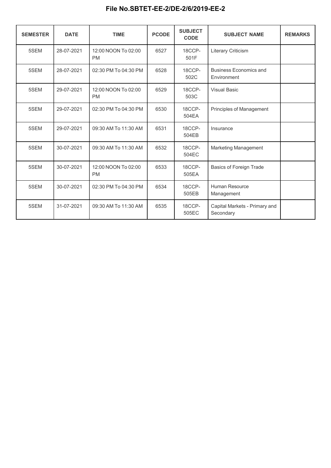| <b>SEMESTER</b> | <b>DATE</b> | <b>TIME</b>                      | <b>PCODE</b> | <b>SUBJECT</b><br><b>CODE</b> | <b>SUBJECT NAME</b>                          | <b>REMARKS</b> |  |
|-----------------|-------------|----------------------------------|--------------|-------------------------------|----------------------------------------------|----------------|--|
| 5SEM            | 28-07-2021  | 12:00 NOON To 02:00<br><b>PM</b> | 6527         | 18CCP-<br>501F                | Literary Criticism                           |                |  |
| 5SEM            | 28-07-2021  | 02:30 PM To 04:30 PM             | 6528         | 18CCP-<br>502C                | <b>Business Economics and</b><br>Environment |                |  |
| 5SEM            | 29-07-2021  | 12:00 NOON To 02:00<br><b>PM</b> | 6529         | 18CCP-<br>503C                | <b>Visual Basic</b>                          |                |  |
| 5SEM            | 29-07-2021  | 02:30 PM To 04:30 PM             | 6530         | 18CCP-<br>504EA               | Principles of Management                     |                |  |
| 5SEM            | 29-07-2021  | 09:30 AM To 11:30 AM             | 6531         | 18CCP-<br>504EB               | Insurance                                    |                |  |
| 5SEM            | 30-07-2021  | 09:30 AM To 11:30 AM             | 6532         | 18CCP-<br>504EC               | Marketing Management                         |                |  |
| 5SEM            | 30-07-2021  | 12:00 NOON To 02:00<br><b>PM</b> | 6533         | 18CCP-<br>505EA               | Basics of Foreign Trade                      |                |  |
| 5SEM            | 30-07-2021  | 02:30 PM To 04:30 PM             | 6534         | 18CCP-<br>505EB               | Human Resource<br>Management                 |                |  |
| 5SEM            | 31-07-2021  | 09:30 AM To 11:30 AM             | 6535         | 18CCP-<br>505EC               | Capital Markets - Primary and<br>Secondary   |                |  |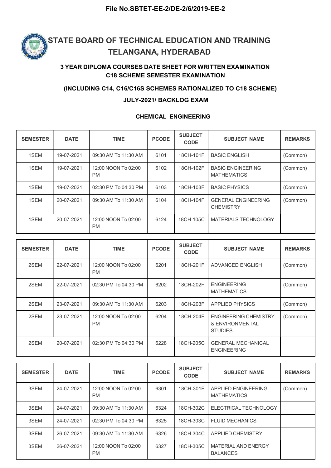

#### 3 YEAR DIPLOMA COURSES DATE SHEET FOR WRITTEN EXAMINATION C18 SCHEME SEMESTER EXAMINATION

#### (INCLUDING C14, C16/C16S SCHEMES RATIONALIZED TO C18 SCHEME)

#### JULY-2021/ BACKLOG EXAM

#### CHEMICAL ENGINEERING

| <b>SEMESTER</b> | <b>DATE</b> | <b>TIME</b>                      | <b>PCODE</b> | <b>SUBJECT</b><br><b>CODE</b> | <b>SUBJECT NAME</b>                            | <b>REMARKS</b> |
|-----------------|-------------|----------------------------------|--------------|-------------------------------|------------------------------------------------|----------------|
| 1SEM            | 19-07-2021  | 09:30 AM To 11:30 AM             | 6101         | 18CH-101F                     | <b>BASIC ENGLISH</b>                           | (Common)       |
| 1SEM            | 19-07-2021  | 12:00 NOON To 02:00<br><b>PM</b> | 6102         | 18CH-102F                     | <b>BASIC ENGINEERING</b><br><b>MATHEMATICS</b> | (Common)       |
| 1SEM            | 19-07-2021  | 02:30 PM To 04:30 PM             | 6103         | 18CH-103F                     | <b>BASIC PHYSICS</b>                           | (Common)       |
| 1SEM            | 20-07-2021  | 09:30 AM To 11:30 AM             | 6104         | 18CH-104F                     | <b>GENERAL ENGINEERING</b><br><b>CHEMISTRY</b> | (Common)       |
| 1SEM            | 20-07-2021  | 12:00 NOON To 02:00<br><b>PM</b> | 6124         | 18CH-105C                     | <b>MATERIALS TECHNOLOGY</b>                    |                |

| <b>SEMESTER</b> | <b>DATE</b> | <b>TIME</b>                      | <b>PCODE</b> | <b>SUBJECT</b><br><b>CODE</b> | <b>SUBJECT NAME</b>                                               | <b>REMARKS</b> |
|-----------------|-------------|----------------------------------|--------------|-------------------------------|-------------------------------------------------------------------|----------------|
| 2SEM            | 22-07-2021  | 12:00 NOON To 02:00<br><b>PM</b> | 6201         | 18CH-201F                     | ADVANCED ENGLISH                                                  | (Common)       |
| 2SEM            | 22-07-2021  | 02:30 PM To 04:30 PM             | 6202         | 18CH-202F                     | <b>ENGINEERING</b><br><b>MATHEMATICS</b>                          | (Common)       |
| 2SEM            | 23-07-2021  | 09:30 AM To 11:30 AM             | 6203         | 18CH-203F                     | <b>APPLIED PHYSICS</b>                                            | (Common)       |
| 2SEM            | 23-07-2021  | 12:00 NOON To 02:00<br><b>PM</b> | 6204         | 18CH-204F                     | <b>ENGINEERING CHEMISTRY</b><br>& ENVIRONMENTAL<br><b>STUDIES</b> | (Common)       |
| 2SEM            | 20-07-2021  | 02:30 PM To 04:30 PM             | 6228         | 18CH-205C                     | <b>GENERAL MECHANICAL</b><br><b>ENGINEERING</b>                   |                |

| <b>SEMESTER</b> | <b>DATE</b> | <b>TIME</b>                      | <b>PCODE</b> | <b>SUBJECT</b><br><b>CODE</b> | <b>SUBJECT NAME</b>                           | <b>REMARKS</b> |
|-----------------|-------------|----------------------------------|--------------|-------------------------------|-----------------------------------------------|----------------|
| 3SEM            | 24-07-2021  | 12:00 NOON To 02:00<br><b>PM</b> | 6301         | 18CH-301F                     | APPLIED ENGINEERING<br><b>MATHEMATICS</b>     | (Common)       |
| 3SEM            | 24-07-2021  | 09:30 AM To 11:30 AM             | 6324         | 18CH-302C                     | ELECTRICAL TECHNOLOGY                         |                |
| 3SEM            | 24-07-2021  | 02:30 PM To 04:30 PM             | 6325         | 18CH-303C                     | <b>FLUID MECHANICS</b>                        |                |
| 3SEM            | 26-07-2021  | 09:30 AM To 11:30 AM             | 6326         | 18CH-304C                     | <b>APPLIED CHEMISTRY</b>                      |                |
| 3SEM            | 26-07-2021  | 12:00 NOON To 02:00<br><b>PM</b> | 6327         | 18CH-305C                     | <b>MATERIAL AND ENERGY</b><br><b>BALANCES</b> |                |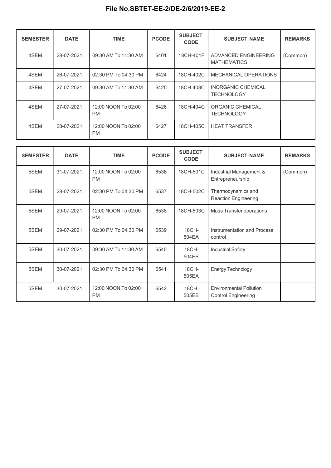| <b>SEMESTER</b> | <b>DATE</b> | <b>TIME</b>                      | <b>PCODE</b> | <b>SUBJECT</b><br><b>CODE</b> | <b>SUBJECT NAME</b>                            | <b>REMARKS</b> |
|-----------------|-------------|----------------------------------|--------------|-------------------------------|------------------------------------------------|----------------|
| 4SEM            | 28-07-2021  | 09:30 AM To 11:30 AM             | 6401         | 18CH-401F                     | ADVANCED ENGINEERING<br><b>MATHEMATICS</b>     | (Common)       |
| 4SEM            | 26-07-2021  | 02:30 PM To 04:30 PM             | 6424         | 18CH-402C                     | MECHANICAL OPERATIONS                          |                |
| 4SEM            | 27-07-2021  | 09:30 AM To 11:30 AM             | 6425         | 18CH-403C                     | <b>INORGANIC CHEMICAL</b><br><b>TECHNOLOGY</b> |                |
| 4SEM            | 27-07-2021  | 12:00 NOON To 02:00<br><b>PM</b> | 6426         | 18CH-404C                     | ORGANIC CHEMICAL<br><b>TECHNOLOGY</b>          |                |
| 4SEM            | 28-07-2021  | 12:00 NOON To 02:00<br><b>PM</b> | 6427         | 18CH-405C                     | <b>HEAT TRANSFER</b>                           |                |

| <b>SEMESTER</b> | <b>DATE</b> | <b>TIME</b>                      | <b>PCODE</b> | <b>SUBJECT</b><br><b>CODE</b> | <b>SUBJECT NAME</b>                                          | <b>REMARKS</b> |
|-----------------|-------------|----------------------------------|--------------|-------------------------------|--------------------------------------------------------------|----------------|
| 5SEM            | 31-07-2021  | 12:00 NOON To 02:00<br><b>PM</b> | 6536         | 18CH-501C                     | Industrial Management &<br>Entrepreneurship                  | (Common)       |
| 5SEM            | 28-07-2021  | 02:30 PM To 04:30 PM             | 6537         | 18CH-502C                     | Thermodynamics and<br><b>Reaction Engineering</b>            |                |
| 5SEM            | 29-07-2021  | 12:00 NOON To 02:00<br><b>PM</b> | 6538         | 18CH-503C                     | Mass Transfer operations                                     |                |
| 5SEM            | 29-07-2021  | 02:30 PM To 04:30 PM             | 6539         | 18CH-<br>504EA                | Instrumentation and Process<br>control                       |                |
| 5SEM            | 30-07-2021  | 09:30 AM To 11:30 AM             | 6540         | 18CH-<br>504EB                | <b>Industrial Safety</b>                                     |                |
| 5SEM            | 30-07-2021  | 02:30 PM To 04:30 PM             | 6541         | 18CH-<br>505EA                | Energy Technology                                            |                |
| 5SEM            | 30-07-2021  | 12:00 NOON To 02:00<br><b>PM</b> | 6542         | 18CH-<br>505EB                | <b>Environmental Pollution</b><br><b>Control Engineering</b> |                |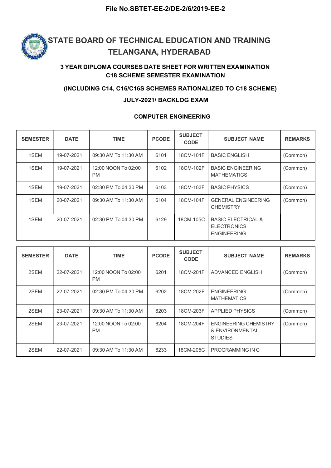

### 3 YEAR DIPLOMA COURSES DATE SHEET FOR WRITTEN EXAMINATION C18 SCHEME SEMESTER EXAMINATION

#### (INCLUDING C14, C16/C16S SCHEMES RATIONALIZED TO C18 SCHEME)

#### JULY-2021/ BACKLOG EXAM

#### COMPUTER ENGINEERING

| <b>SEMESTER</b> | <b>DATE</b> | <b>TIME</b>                      | <b>PCODE</b> | <b>SUBJECT</b><br><b>CODE</b> | <b>SUBJECT NAME</b>                                                       | <b>REMARKS</b> |
|-----------------|-------------|----------------------------------|--------------|-------------------------------|---------------------------------------------------------------------------|----------------|
| 1SEM            | 19-07-2021  | 09:30 AM To 11:30 AM             | 6101         | 18CM-101F                     | <b>BASIC ENGLISH</b>                                                      | (Common)       |
| 1SEM            | 19-07-2021  | 12:00 NOON To 02:00<br><b>PM</b> | 6102         | 18CM-102F                     | <b>BASIC ENGINEERING</b><br><b>MATHEMATICS</b>                            | (Common)       |
| 1SEM            | 19-07-2021  | 02:30 PM To 04:30 PM             | 6103         | 18CM-103F                     | <b>BASIC PHYSICS</b>                                                      | (Common)       |
| 1SEM            | 20-07-2021  | 09:30 AM To 11:30 AM             | 6104         | 18CM-104F                     | <b>GENERAL ENGINEERING</b><br><b>CHEMISTRY</b>                            | (Common)       |
| 1SEM            | 20-07-2021  | 02:30 PM To 04:30 PM             | 6129         | 18CM-105C                     | <b>BASIC ELECTRICAL &amp;</b><br><b>ELECTRONICS</b><br><b>ENGINEERING</b> |                |

| <b>SEMESTER</b> | <b>DATE</b> | <b>TIME</b>                      | <b>PCODE</b> | <b>SUBJECT</b><br><b>CODE</b> | <b>SUBJECT NAME</b>                                               | <b>REMARKS</b> |
|-----------------|-------------|----------------------------------|--------------|-------------------------------|-------------------------------------------------------------------|----------------|
| 2SEM            | 22-07-2021  | 12:00 NOON To 02:00<br><b>PM</b> | 6201         | 18CM-201F                     | ADVANCED ENGLISH                                                  | (Common)       |
| 2SEM            | 22-07-2021  | 02:30 PM To 04:30 PM             | 6202         | 18CM-202F                     | <b>ENGINEERING</b><br><b>MATHEMATICS</b>                          | (Common)       |
| 2SEM            | 23-07-2021  | 09:30 AM To 11:30 AM             | 6203         | 18CM-203F                     | <b>APPLIED PHYSICS</b>                                            | (Common)       |
| 2SEM            | 23-07-2021  | 12:00 NOON To 02:00<br><b>PM</b> | 6204         | 18CM-204F                     | <b>ENGINEERING CHEMISTRY</b><br>& ENVIRONMENTAL<br><b>STUDIES</b> | (Common)       |
| 2SEM            | 22-07-2021  | 09:30 AM To 11:30 AM             | 6233         | 18CM-205C                     | PROGRAMMING IN C                                                  |                |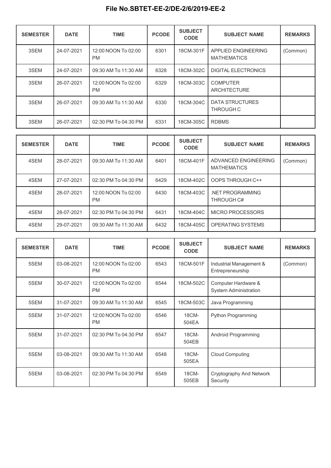| <b>SEMESTER</b> | <b>DATE</b> | <b>TIME</b>                      | <b>PCODE</b> | <b>SUBJECT</b><br><b>CODE</b> | <b>SUBJECT NAME</b>                       | <b>REMARKS</b> |
|-----------------|-------------|----------------------------------|--------------|-------------------------------|-------------------------------------------|----------------|
| 3SEM            | 24-07-2021  | 12:00 NOON To 02:00<br><b>PM</b> | 6301         | 18CM-301F                     | APPLIED ENGINEERING<br><b>MATHEMATICS</b> | (Common)       |
| 3SEM            | 24-07-2021  | 09:30 AM To 11:30 AM             | 6328         | 18CM-302C                     | DIGITAL ELECTRONICS                       |                |
| 3SEM            | 26-07-2021  | 12:00 NOON To 02:00<br><b>PM</b> | 6329         | 18CM-303C                     | <b>COMPUTER</b><br><b>ARCHITECTURE</b>    |                |
| 3SEM            | 26-07-2021  | 09:30 AM To 11:30 AM             | 6330         | 18CM-304C                     | DATA STRUCTURES<br>THROUGH C              |                |
| 3SEM            | 26-07-2021  | 02:30 PM To 04:30 PM             | 6331         | 18CM-305C                     | <b>RDBMS</b>                              |                |

| <b>SEMESTER</b> | <b>DATE</b> | <b>TIME</b>                      | <b>PCODE</b> | <b>SUBJECT</b><br><b>CODE</b> | <b>SUBJECT NAME</b>                        | <b>REMARKS</b> |
|-----------------|-------------|----------------------------------|--------------|-------------------------------|--------------------------------------------|----------------|
| 4SEM            | 28-07-2021  | 09:30 AM To 11:30 AM             | 6401         | 18CM-401F                     | ADVANCED ENGINEERING<br><b>MATHEMATICS</b> | (Common)       |
| 4SEM            | 27-07-2021  | 02:30 PM To 04:30 PM             | 6429         | 18CM-402C                     | OOPS THROUGH C++                           |                |
| 4SEM            | 28-07-2021  | 12:00 NOON To 02:00<br><b>PM</b> | 6430         | 18CM-403C                     | .NET PROGRAMMING<br>THROUGH C#             |                |
| 4SEM            | 28-07-2021  | 02:30 PM To 04:30 PM             | 6431         | 18CM-404C                     | MICRO PROCESSORS                           |                |
| 4SEM            | 29-07-2021  | 09:30 AM To 11:30 AM             | 6432         | 18CM-405C                     | <b>OPERATING SYSTEMS</b>                   |                |

| <b>SEMESTER</b> | <b>DATE</b> | <b>TIME</b>                      | <b>PCODE</b> | <b>SUBJECT</b><br><b>CODE</b> | <b>SUBJECT NAME</b>                                 | <b>REMARKS</b> |
|-----------------|-------------|----------------------------------|--------------|-------------------------------|-----------------------------------------------------|----------------|
| 5SEM            | 03-08-2021  | 12:00 NOON To 02:00<br><b>PM</b> | 6543         | 18CM-501F                     | Industrial Management &<br>Entrepreneurship         | (Common)       |
| 5SEM            | 30-07-2021  | 12:00 NOON To 02:00<br><b>PM</b> | 6544         | 18CM-502C                     | Computer Hardware &<br><b>System Administration</b> |                |
| 5SEM            | 31-07-2021  | 09:30 AM To 11:30 AM             | 6545         | 18CM-503C                     | Java Programming                                    |                |
| 5SEM            | 31-07-2021  | 12:00 NOON To 02:00<br><b>PM</b> | 6546         | 18CM-<br>504EA                | Python Programming                                  |                |
| 5SEM            | 31-07-2021  | 02:30 PM To 04:30 PM             | 6547         | 18CM-<br>504EB                | Android Programming                                 |                |
| 5SEM            | 03-08-2021  | 09:30 AM To 11:30 AM             | 6548         | 18CM-<br>505EA                | <b>Cloud Computing</b>                              |                |
| 5SEM            | 03-08-2021  | 02:30 PM To 04:30 PM             | 6549         | 18CM-<br>505EB                | Cryptography And Network<br>Security                |                |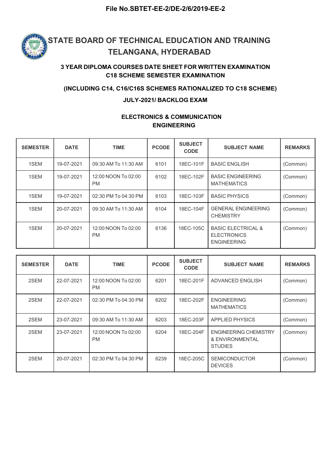

#### 3 YEAR DIPLOMA COURSES DATE SHEET FOR WRITTEN EXAMINATION C18 SCHEME SEMESTER EXAMINATION

#### (INCLUDING C14, C16/C16S SCHEMES RATIONALIZED TO C18 SCHEME)

#### JULY-2021/ BACKLOG EXAM

### ELECTRONICS & COMMUNICATION ENGINEERING

| <b>SEMESTER</b> | <b>DATE</b> | <b>TIME</b>                      | <b>PCODE</b> | <b>SUBJECT</b><br><b>CODE</b> | <b>SUBJECT NAME</b>                                                       | <b>REMARKS</b> |
|-----------------|-------------|----------------------------------|--------------|-------------------------------|---------------------------------------------------------------------------|----------------|
| 1SEM            | 19-07-2021  | 09:30 AM To 11:30 AM             | 6101         | 18EC-101F                     | <b>BASIC ENGLISH</b>                                                      | (Common)       |
| 1SEM            | 19-07-2021  | 12:00 NOON To 02:00<br><b>PM</b> | 6102         | 18EC-102F                     | <b>BASIC ENGINEERING</b><br><b>MATHEMATICS</b>                            | (Common)       |
| 1SEM            | 19-07-2021  | 02:30 PM To 04:30 PM             | 6103         | 18EC-103F                     | <b>BASIC PHYSICS</b>                                                      | (Common)       |
| 1SEM            | 20-07-2021  | 09:30 AM To 11:30 AM             | 6104         | 18EC-104F                     | <b>GENERAL ENGINEERING</b><br><b>CHEMISTRY</b>                            | (Common)       |
| 1SEM            | 20-07-2021  | 12:00 NOON To 02:00<br><b>PM</b> | 6136         | 18EC-105C                     | <b>BASIC ELECTRICAL &amp;</b><br><b>ELECTRONICS</b><br><b>ENGINEERING</b> | (Common)       |

| <b>SEMESTER</b> | <b>DATE</b> | <b>TIME</b>                      | <b>PCODE</b> | <b>SUBJECT</b><br><b>CODE</b> | <b>SUBJECT NAME</b>                                               | <b>REMARKS</b> |
|-----------------|-------------|----------------------------------|--------------|-------------------------------|-------------------------------------------------------------------|----------------|
| 2SEM            | 22-07-2021  | 12:00 NOON To 02:00<br><b>PM</b> | 6201         | 18EC-201F                     | ADVANCED ENGLISH                                                  | (Common)       |
| 2SEM            | 22-07-2021  | 02:30 PM To 04:30 PM             | 6202         | 18EC-202F                     | <b>ENGINEERING</b><br><b>MATHEMATICS</b>                          | (Common)       |
| 2SEM            | 23-07-2021  | 09:30 AM To 11:30 AM             | 6203         | 18EC-203F                     | <b>APPLIED PHYSICS</b>                                            | (Common)       |
| 2SEM            | 23-07-2021  | 12:00 NOON To 02:00<br><b>PM</b> | 6204         | 18EC-204F                     | <b>ENGINEERING CHEMISTRY</b><br>& ENVIRONMENTAL<br><b>STUDIES</b> | (Common)       |
| 2SEM            | 20-07-2021  | 02:30 PM To 04:30 PM             | 6239         | 18EC-205C                     | <b>SEMICONDUCTOR</b><br><b>DEVICES</b>                            | (Common)       |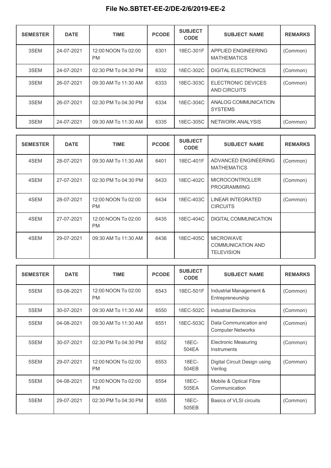| <b>SEMESTER</b> | <b>DATE</b> | <b>TIME</b>                      | <b>PCODE</b> | <b>SUBJECT</b><br><b>CODE</b> | <b>SUBJECT NAME</b>                       | <b>REMARKS</b> |
|-----------------|-------------|----------------------------------|--------------|-------------------------------|-------------------------------------------|----------------|
| 3SEM            | 24-07-2021  | 12:00 NOON To 02:00<br><b>PM</b> | 6301         | 18EC-301F                     | APPLIED ENGINEERING<br><b>MATHEMATICS</b> | (Common)       |
| 3SEM            | 24-07-2021  | 02:30 PM To 04:30 PM             | 6332         | 18EC-302C                     | <b>DIGITAL ELECTRONICS</b>                | (Common)       |
| 3SEM            | 26-07-2021  | 09:30 AM To 11:30 AM             | 6333         | 18EC-303C                     | ELECTRONIC DEVICES<br>AND CIRCUITS        | (Common)       |
| 3SEM            | 26-07-2021  | 02:30 PM To 04:30 PM             | 6334         | 18EC-304C                     | ANALOG COMMUNICATION<br><b>SYSTEMS</b>    |                |
| 3SEM            | 24-07-2021  | 09:30 AM To 11:30 AM             | 6335         | 18EC-305C                     | NETWORK ANALYSIS                          | (Common)       |

| <b>SEMESTER</b> | <b>DATE</b> | <b>TIME</b>                      | <b>PCODE</b> | <b>SUBJECT</b><br><b>CODE</b> | <b>SUBJECT NAME</b>                                               | <b>REMARKS</b> |
|-----------------|-------------|----------------------------------|--------------|-------------------------------|-------------------------------------------------------------------|----------------|
| 4SEM            | 28-07-2021  | 09:30 AM To 11:30 AM             | 6401         | 18EC-401F                     | ADVANCED ENGINEERING<br><b>MATHEMATICS</b>                        | (Common)       |
| 4SEM            | 27-07-2021  | 02:30 PM To 04:30 PM             | 6433         | 18EC-402C                     | <b>MICROCONTROLLER</b><br><b>PROGRAMMING</b>                      | (Common)       |
| 4SEM            | 28-07-2021  | 12:00 NOON To 02:00<br><b>PM</b> | 6434         | 18EC-403C                     | LINEAR INTEGRATED<br><b>CIRCUITS</b>                              | (Common)       |
| 4SEM            | 27-07-2021  | 12:00 NOON To 02:00<br><b>PM</b> | 6435         | 18EC-404C                     | DIGITAL COMMUNICATION                                             |                |
| 4SEM            | 29-07-2021  | 09:30 AM To 11:30 AM             | 6436         | 18EC-405C                     | <b>MICROWAVE</b><br><b>COMMUNICATION AND</b><br><b>TELEVISION</b> |                |

| <b>SEMESTER</b> | <b>DATE</b> | <b>TIME</b>                      | <b>PCODE</b> | <b>SUBJECT</b><br><b>CODE</b> | <b>SUBJECT NAME</b>                                | <b>REMARKS</b> |
|-----------------|-------------|----------------------------------|--------------|-------------------------------|----------------------------------------------------|----------------|
| 5SEM            | 03-08-2021  | 12:00 NOON To 02:00<br><b>PM</b> | 6543         | 18EC-501F                     | Industrial Management &<br>Entrepreneurship        | (Common)       |
| 5SEM            | 30-07-2021  | 09:30 AM To 11:30 AM             | 6550         | 18EC-502C                     | <b>Industrial Electronics</b>                      | (Common)       |
| 5SEM            | 04-08-2021  | 09:30 AM To 11:30 AM             | 6551         | 18EC-503C                     | Data Communication and<br><b>Computer Networks</b> | (Common)       |
| 5SEM            | 30-07-2021  | 02:30 PM To 04:30 PM             | 6552         | 18EC-<br>504EA                | <b>Electronic Measuring</b><br>Instruments         | (Common)       |
| 5SEM            | 29-07-2021  | 12:00 NOON To 02:00<br><b>PM</b> | 6553         | 18EC-<br>504EB                | Digital Circuit Design using<br>Verilog            | (Common)       |
| 5SEM            | 04-08-2021  | 12:00 NOON To 02:00<br><b>PM</b> | 6554         | 18EC-<br>505EA                | Mobile & Optical Fibre<br>Communication            |                |
| 5SEM            | 29-07-2021  | 02:30 PM To 04:30 PM             | 6555         | 18EC-<br>505EB                | Basics of VLSI circuits                            | (Common)       |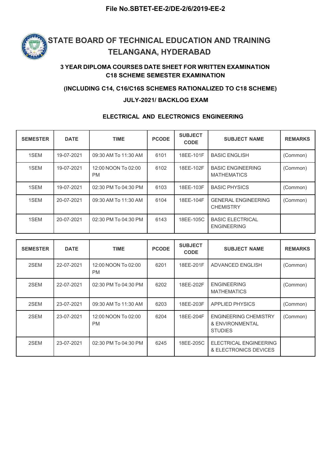

### 3 YEAR DIPLOMA COURSES DATE SHEET FOR WRITTEN EXAMINATION C18 SCHEME SEMESTER EXAMINATION

#### (INCLUDING C14, C16/C16S SCHEMES RATIONALIZED TO C18 SCHEME)

#### JULY-2021/ BACKLOG EXAM

#### ELECTRICAL AND ELECTRONICS ENGINEERING

| <b>SEMESTER</b> | <b>DATE</b> | <b>TIME</b>                      | <b>PCODE</b> | <b>SUBJECT</b><br><b>CODE</b> | <b>SUBJECT NAME</b>                            | <b>REMARKS</b> |
|-----------------|-------------|----------------------------------|--------------|-------------------------------|------------------------------------------------|----------------|
| 1SEM            | 19-07-2021  | 09:30 AM To 11:30 AM             | 6101         | 18EE-101F                     | <b>BASIC ENGLISH</b>                           | (Common)       |
| 1SEM            | 19-07-2021  | 12:00 NOON To 02:00<br><b>PM</b> | 6102         | 18EE-102F                     | <b>BASIC ENGINEERING</b><br><b>MATHEMATICS</b> | (Common)       |
| 1SEM            | 19-07-2021  | 02:30 PM To 04:30 PM             | 6103         | 18EE-103F                     | <b>BASIC PHYSICS</b>                           | (Common)       |
| 1SEM            | 20-07-2021  | 09:30 AM To 11:30 AM             | 6104         | 18EE-104F                     | <b>GENERAL ENGINEERING</b><br><b>CHEMISTRY</b> | (Common)       |
| 1SEM            | 20-07-2021  | 02:30 PM To 04:30 PM             | 6143         | 18EE-105C                     | <b>BASIC ELECTRICAL</b><br><b>ENGINEERING</b>  |                |

| <b>SEMESTER</b> | <b>DATE</b> | <b>TIME</b>                      | <b>PCODE</b> | <b>SUBJECT</b><br><b>CODE</b> | <b>SUBJECT NAME</b>                                               | <b>REMARKS</b> |
|-----------------|-------------|----------------------------------|--------------|-------------------------------|-------------------------------------------------------------------|----------------|
| 2SEM            | 22-07-2021  | 12:00 NOON To 02:00<br><b>PM</b> | 6201         | 18EE-201F                     | ADVANCED ENGLISH                                                  | (Common)       |
| 2SEM            | 22-07-2021  | 02:30 PM To 04:30 PM             | 6202         | 18EE-202F                     | <b>ENGINEERING</b><br><b>MATHEMATICS</b>                          | (Common)       |
| 2SEM            | 23-07-2021  | 09:30 AM To 11:30 AM             | 6203         | 18EE-203F                     | <b>APPLIED PHYSICS</b>                                            | (Common)       |
| 2SEM            | 23-07-2021  | 12:00 NOON To 02:00<br><b>PM</b> | 6204         | 18EE-204F                     | <b>ENGINEERING CHEMISTRY</b><br>& ENVIRONMENTAL<br><b>STUDIES</b> | (Common)       |
| 2SEM            | 23-07-2021  | 02:30 PM To 04:30 PM             | 6245         | 18EE-205C                     | <b>ELECTRICAL ENGINEERING</b><br>& ELECTRONICS DEVICES            |                |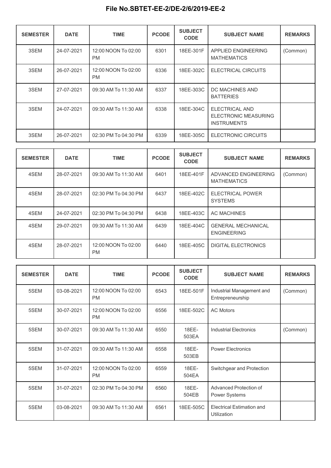| <b>SEMESTER</b> | <b>DATE</b> | <b>TIME</b>                      | <b>PCODE</b> | <b>SUBJECT</b><br><b>CODE</b> | <b>SUBJECT NAME</b>                                                        | <b>REMARKS</b> |
|-----------------|-------------|----------------------------------|--------------|-------------------------------|----------------------------------------------------------------------------|----------------|
| 3SEM            | 24-07-2021  | 12:00 NOON To 02:00<br><b>PM</b> | 6301         | 18EE-301F                     | APPLIED ENGINEERING<br><b>MATHEMATICS</b>                                  | (Common)       |
| 3SEM            | 26-07-2021  | 12:00 NOON To 02:00<br><b>PM</b> | 6336         | 18EE-302C                     | ELECTRICAL CIRCUITS                                                        |                |
| 3SEM            | 27-07-2021  | 09:30 AM To 11:30 AM             | 6337         | 18EE-303C                     | DC MACHINES AND<br><b>BATTERIES</b>                                        |                |
| 3SEM            | 24-07-2021  | 09:30 AM To 11:30 AM             | 6338         | 18EE-304C                     | <b>ELECTRICAL AND</b><br><b>ELECTRONIC MEASURING</b><br><b>INSTRUMENTS</b> |                |
| 3SEM            | 26-07-2021  | 02:30 PM To 04:30 PM             | 6339         | 18EE-305C                     | ELECTRONIC CIRCUITS                                                        |                |

| <b>SEMESTER</b> | <b>DATE</b> | <b>TIME</b>                      | <b>PCODE</b> | <b>SUBJECT</b><br><b>CODE</b> | <b>SUBJECT NAME</b>                             | <b>REMARKS</b> |
|-----------------|-------------|----------------------------------|--------------|-------------------------------|-------------------------------------------------|----------------|
| 4SEM            | 28-07-2021  | 09:30 AM To 11:30 AM             | 6401         | 18EE-401F                     | ADVANCED ENGINEERING<br><b>MATHEMATICS</b>      | (Common)       |
| 4SEM            | 28-07-2021  | 02:30 PM To 04:30 PM             | 6437         | 18EE-402C                     | <b>ELECTRICAL POWER</b><br><b>SYSTEMS</b>       |                |
| 4SEM            | 24-07-2021  | 02:30 PM To 04:30 PM             | 6438         | 18EE-403C                     | AC MACHINES                                     |                |
| 4SEM            | 29-07-2021  | 09:30 AM To 11:30 AM             | 6439         | 18EE-404C                     | <b>GENERAL MECHANICAL</b><br><b>ENGINEERING</b> |                |
| 4SEM            | 28-07-2021  | 12:00 NOON To 02:00<br><b>PM</b> | 6440         | 18EE-405C                     | <b>DIGITAL ELECTRONICS</b>                      |                |

| <b>SEMESTER</b> | <b>DATE</b> | <b>TIME</b>                      | <b>PCODE</b> | <b>SUBJECT</b><br><b>CODE</b> | <b>SUBJECT NAME</b>                             | <b>REMARKS</b> |
|-----------------|-------------|----------------------------------|--------------|-------------------------------|-------------------------------------------------|----------------|
| 5SEM            | 03-08-2021  | 12:00 NOON To 02:00<br><b>PM</b> | 6543         | 18EE-501F                     | Industrial Management and<br>Entrepreneurship   | (Common)       |
| 5SEM            | 30-07-2021  | 12:00 NOON To 02:00<br><b>PM</b> | 6556         | 18EE-502C                     | <b>AC Motors</b>                                |                |
| 5SEM            | 30-07-2021  | 09:30 AM To 11:30 AM             | 6550         | 18EE-<br>503EA                | Industrial Electronics                          | (Common)       |
| 5SEM            | 31-07-2021  | 09:30 AM To 11:30 AM             | 6558         | 18EE-<br>503EB                | Power Electronics                               |                |
| 5SEM            | 31-07-2021  | 12:00 NOON To 02:00<br><b>PM</b> | 6559         | 18EE-<br>504EA                | Switchgear and Protection                       |                |
| 5SEM            | 31-07-2021  | 02:30 PM To 04:30 PM             | 6560         | 18EE-<br>504EB                | Advanced Protection of<br>Power Systems         |                |
| 5SEM            | 03-08-2021  | 09:30 AM To 11:30 AM             | 6561         | 18EE-505C                     | <b>Electrical Estimation and</b><br>Utilization |                |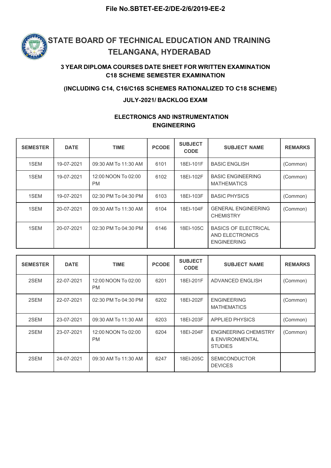

#### 3 YEAR DIPLOMA COURSES DATE SHEET FOR WRITTEN EXAMINATION C18 SCHEME SEMESTER EXAMINATION

#### (INCLUDING C14, C16/C16S SCHEMES RATIONALIZED TO C18 SCHEME)

#### JULY-2021/ BACKLOG EXAM

### ELECTRONICS AND INSTRUMENTATION ENGINEERING

| <b>SEMESTER</b> | <b>DATE</b> | <b>TIME</b>                      | <b>PCODE</b> | <b>SUBJECT</b><br><b>CODE</b> | <b>SUBJECT NAME</b>                                                  | <b>REMARKS</b> |
|-----------------|-------------|----------------------------------|--------------|-------------------------------|----------------------------------------------------------------------|----------------|
| 1SEM            | 19-07-2021  | 09:30 AM To 11:30 AM             | 6101         | 18EI-101F                     | <b>BASIC ENGLISH</b>                                                 | (Common)       |
| 1SEM            | 19-07-2021  | 12:00 NOON To 02:00<br><b>PM</b> | 6102         | 18EI-102F                     | <b>BASIC ENGINEERING</b><br><b>MATHEMATICS</b>                       | (Common)       |
| 1SEM            | 19-07-2021  | 02:30 PM To 04:30 PM             | 6103         | 18EI-103F                     | <b>BASIC PHYSICS</b>                                                 | (Common)       |
| 1SEM            | 20-07-2021  | 09:30 AM To 11:30 AM             | 6104         | 18EI-104F                     | <b>GENERAL ENGINEERING</b><br><b>CHEMISTRY</b>                       | (Common)       |
| 1SEM            | 20-07-2021  | 02:30 PM To 04:30 PM             | 6146         | 18EI-105C                     | <b>BASICS OF ELECTRICAL</b><br>AND ELECTRONICS<br><b>ENGINEERING</b> |                |

| <b>SEMESTER</b> | <b>DATE</b> | <b>TIME</b>                      | <b>PCODE</b> | <b>SUBJECT</b><br><b>CODE</b> | <b>SUBJECT NAME</b>                                               | <b>REMARKS</b> |
|-----------------|-------------|----------------------------------|--------------|-------------------------------|-------------------------------------------------------------------|----------------|
| 2SEM            | 22-07-2021  | 12:00 NOON To 02:00<br><b>PM</b> | 6201         | 18EI-201F                     | ADVANCED ENGLISH                                                  | (Common)       |
| 2SEM            | 22-07-2021  | 02:30 PM To 04:30 PM             | 6202         | 18EI-202F                     | <b>ENGINEERING</b><br><b>MATHEMATICS</b>                          | (Common)       |
| 2SEM            | 23-07-2021  | 09:30 AM To 11:30 AM             | 6203         | 18EI-203F                     | <b>APPLIED PHYSICS</b>                                            | (Common)       |
| 2SEM            | 23-07-2021  | 12:00 NOON To 02:00<br><b>PM</b> | 6204         | 18EI-204F                     | <b>ENGINEERING CHEMISTRY</b><br>& ENVIRONMENTAL<br><b>STUDIES</b> | (Common)       |
| 2SEM            | 24-07-2021  | 09:30 AM To 11:30 AM             | 6247         | 18EI-205C                     | <b>SEMICONDUCTOR</b><br><b>DEVICES</b>                            |                |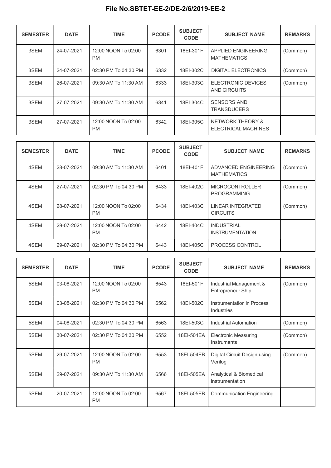| <b>SEMESTER</b> | <b>DATE</b> | <b>TIME</b>                      | <b>PCODE</b> | <b>SUBJECT</b><br><b>CODE</b> | <b>SUBJECT NAME</b>                                | <b>REMARKS</b> |
|-----------------|-------------|----------------------------------|--------------|-------------------------------|----------------------------------------------------|----------------|
| 3SEM            | 24-07-2021  | 12:00 NOON To 02:00<br><b>PM</b> | 6301         | 18EI-301F                     | APPLIED ENGINEERING<br><b>MATHEMATICS</b>          | (Common)       |
| 3SEM            | 24-07-2021  | 02:30 PM To 04:30 PM             | 6332         | 18EI-302C                     | <b>DIGITAL ELECTRONICS</b>                         | (Common)       |
| 3SEM            | 26-07-2021  | 09:30 AM To 11:30 AM             | 6333         | 18EI-303C                     | ELECTRONIC DEVICES<br>AND CIRCUITS                 | (Common)       |
| 3SEM            | 27-07-2021  | 09:30 AM To 11:30 AM             | 6341         | 18EI-304C                     | <b>SENSORS AND</b><br><b>TRANSDUCERS</b>           |                |
| 3SEM            | 27-07-2021  | 12:00 NOON To 02:00<br><b>PM</b> | 6342         | 18EI-305C                     | <b>NETWORK THEORY &amp;</b><br>ELECTRICAL MACHINES |                |

| <b>SEMESTER</b> | <b>DATE</b> | <b>TIME</b>                      | <b>PCODE</b> | <b>SUBJECT</b><br><b>CODE</b> | <b>SUBJECT NAME</b>                          | <b>REMARKS</b> |
|-----------------|-------------|----------------------------------|--------------|-------------------------------|----------------------------------------------|----------------|
| 4SEM            | 28-07-2021  | 09:30 AM To 11:30 AM             | 6401         | 18EI-401F                     | ADVANCED ENGINEERING<br><b>MATHEMATICS</b>   | (Common)       |
| 4SEM            | 27-07-2021  | 02:30 PM To 04:30 PM             | 6433         | 18EI-402C                     | <b>MICROCONTROLLER</b><br><b>PROGRAMMING</b> | (Common)       |
| 4SEM            | 28-07-2021  | 12:00 NOON To 02:00<br><b>PM</b> | 6434         | 18EI-403C                     | LINEAR INTEGRATED<br><b>CIRCUITS</b>         | (Common)       |
| 4SEM            | 29-07-2021  | 12:00 NOON To 02:00<br><b>PM</b> | 6442         | 18EI-404C                     | <b>INDUSTRIAL</b><br><b>INSTRUMENTATION</b>  |                |
| 4SEM            | 29-07-2021  | 02:30 PM To 04:30 PM             | 6443         | 18EI-405C                     | PROCESS CONTROL                              |                |

| <b>SEMESTER</b> | <b>DATE</b> | <b>TIME</b>                      | <b>PCODE</b> | <b>SUBJECT</b><br><b>CODE</b> | <b>SUBJECT NAME</b>                          | <b>REMARKS</b> |
|-----------------|-------------|----------------------------------|--------------|-------------------------------|----------------------------------------------|----------------|
| 5SEM            | 03-08-2021  | 12:00 NOON To 02:00<br><b>PM</b> | 6543         | 18EI-501F                     | Industrial Management &<br>Entrepreneur Ship | (Common)       |
| 5SEM            | 03-08-2021  | 02:30 PM To 04:30 PM             | 6562         | 18EI-502C                     | Instrumentation in Process<br>Industries     |                |
| 5SEM            | 04-08-2021  | 02:30 PM To 04:30 PM             | 6563         | 18EI-503C                     | Industrial Automation                        | (Common)       |
| 5SEM            | 30-07-2021  | 02:30 PM To 04:30 PM             | 6552         | 18EI-504EA                    | <b>Electronic Measuring</b><br>Instruments   | (Common)       |
| 5SEM            | 29-07-2021  | 12:00 NOON To 02:00<br><b>PM</b> | 6553         | 18EI-504EB                    | Digital Circuit Design using<br>Verilog      | (Common)       |
| 5SEM            | 29-07-2021  | 09:30 AM To 11:30 AM             | 6566         | 18EI-505EA                    | Analytical & Biomedical<br>instrumentation   |                |
| 5SEM            | 20-07-2021  | 12:00 NOON To 02:00<br><b>PM</b> | 6567         | 18EI-505EB                    | <b>Communication Engineering</b>             |                |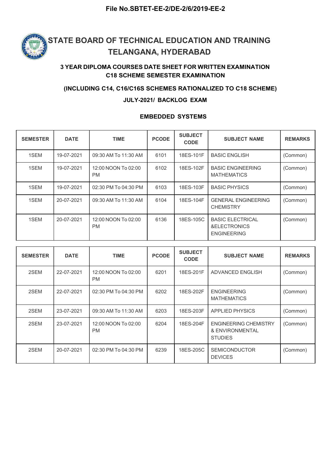

#### 3 YEAR DIPLOMA COURSES DATE SHEET FOR WRITTEN EXAMINATION C18 SCHEME SEMESTER EXAMINATION

#### (INCLUDING C14, C16/C16S SCHEMES RATIONALIZED TO C18 SCHEME)

#### JULY-2021/ BACKLOG EXAM

#### SEMESTER DATE TIME RODE SUBJECT SUBJECT SUBJECT RAME R CODE SUBJECT NAME REMARKS 1SEM | 19-07-2021 | 09:30 AM To 11:30 AM | 6101 | 18ES-101F | BASIC ENGLISH | (Common) 1SEM | 19-07-2021 | 12:00 NOON To 02:00 | 6102 | 18ES-102F PM MATHEMATICS **BASIC ENGINEERING** (Common) 1SEM | 19-07-2021 | 02:30 PM To 04:30 PM | 6103 | 18ES-103F | BASIC PHYSICS | (Common) 1SEM 20-07-2021 09:30 AM To 11:30 AM 6104 18ES-104F GENERAL ENGINEERING **CHEMISTRY** (Common) 1SEM 20-07-2021 12:00 NOON To 02:00 6136 18ES-105C PM &ELECTRONICS **BASIC ELECTRICAL** ENGINEERING (Common)

#### EMBEDDED SYSTEMS

| <b>SEMESTER</b> | <b>DATE</b> | <b>TIME</b>                      | <b>PCODE</b> | <b>SUBJECT</b><br><b>CODE</b> | <b>SUBJECT NAME</b>                                               | <b>REMARKS</b> |
|-----------------|-------------|----------------------------------|--------------|-------------------------------|-------------------------------------------------------------------|----------------|
| 2SEM            | 22-07-2021  | 12:00 NOON To 02:00<br><b>PM</b> | 6201         | 18ES-201F                     | ADVANCED ENGLISH                                                  | (Common)       |
| 2SEM            | 22-07-2021  | 02:30 PM To 04:30 PM             | 6202         | 18ES-202F                     | <b>ENGINEERING</b><br><b>MATHEMATICS</b>                          | (Common)       |
| 2SEM            | 23-07-2021  | 09:30 AM To 11:30 AM             | 6203         | 18ES-203F                     | <b>APPLIED PHYSICS</b>                                            | (Common)       |
| 2SEM            | 23-07-2021  | 12:00 NOON To 02:00<br><b>PM</b> | 6204         | 18ES-204F                     | <b>ENGINEERING CHEMISTRY</b><br>& ENVIRONMENTAL<br><b>STUDIES</b> | (Common)       |
| 2SEM            | 20-07-2021  | 02:30 PM To 04:30 PM             | 6239         | 18ES-205C                     | <b>SEMICONDUCTOR</b><br><b>DEVICES</b>                            | (Common)       |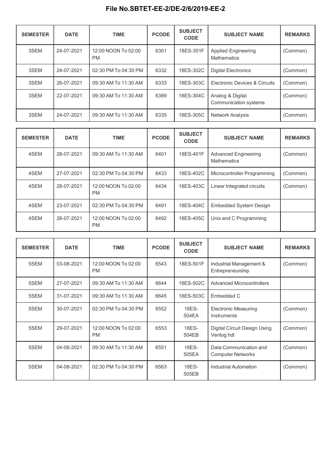| <b>SEMESTER</b> | <b>DATE</b> | <b>TIME</b>                      | <b>PCODE</b> | <b>SUBJECT</b><br><b>CODE</b> | <b>SUBJECT NAME</b>                              | <b>REMARKS</b> |
|-----------------|-------------|----------------------------------|--------------|-------------------------------|--------------------------------------------------|----------------|
| 3SEM            | 24-07-2021  | 12:00 NOON To 02:00<br><b>PM</b> | 6301         | 18ES-301F                     | <b>Applied Engineering</b><br><b>Mathematics</b> | (Common)       |
| 3SEM            | 24-07-2021  | 02:30 PM To 04:30 PM             | 6332         | 18ES-302C                     | <b>Digital Electronics</b>                       | (Common)       |
| 3SEM            | 26-07-2021  | 09:30 AM To 11:30 AM             | 6333         | 18ES-303C                     | Electronic Devices & Circuits                    | (Common)       |
| 3SEM            | 22-07-2021  | 09:30 AM To 11:30 AM             | 6389         | 18ES-304C                     | Analog & Digital<br>Communication systems        | (Common)       |
| 3SEM            | 24-07-2021  | 09:30 AM To 11:30 AM             | 6335         | 18ES-305C                     | Network Analysis                                 | (Common)       |

| <b>SEMESTER</b> | <b>DATE</b> | <b>TIME</b>                      | <b>PCODE</b> | <b>SUBJECT</b><br><b>CODE</b> | <b>SUBJECT NAME</b>                        | <b>REMARKS</b> |
|-----------------|-------------|----------------------------------|--------------|-------------------------------|--------------------------------------------|----------------|
| 4SEM            | 28-07-2021  | 09:30 AM To 11:30 AM             | 6401         | 18ES-401F                     | <b>Advanced Engineering</b><br>Mathematics | (Common)       |
| 4SEM            | 27-07-2021  | 02:30 PM To 04:30 PM             | 6433         | 18ES-402C                     | Microcontroller Programming                | (Common)       |
| 4SEM            | 28-07-2021  | 12:00 NOON To 02:00<br><b>PM</b> | 6434         | 18ES-403C                     | Linear Integrated circuits                 | (Common)       |
| 4SEM            | 23-07-2021  | 02:30 PM To 04:30 PM             | 6491         | 18ES-404C                     | <b>Embedded System Design</b>              |                |
| 4SEM            | 26-07-2021  | 12:00 NOON To 02:00<br><b>PM</b> | 6492         | 18ES-405C                     | Unix and C Programming                     |                |

| <b>SEMESTER</b> | <b>DATE</b> | <b>TIME</b>                      | <b>PCODE</b> | <b>SUBJECT</b><br><b>CODE</b> | <b>SUBJECT NAME</b>                                | <b>REMARKS</b> |
|-----------------|-------------|----------------------------------|--------------|-------------------------------|----------------------------------------------------|----------------|
| 5SEM            | 03-08-2021  | 12:00 NOON To 02:00<br><b>PM</b> | 6543         | 18ES-501F                     | Industrial Management &<br>Entrepreneurship        | (Common)       |
| 5SEM            | 27-07-2021  | 09:30 AM To 11:30 AM             | 6644         | 18ES-502C                     | <b>Advanced Microcontrollers</b>                   |                |
| 5SEM            | 31-07-2021  | 09:30 AM To 11:30 AM             | 6645         | 18ES-503C                     | Embedded C                                         |                |
| 5SEM            | 30-07-2021  | 02:30 PM To 04:30 PM             | 6552         | 18ES-<br>504EA                | <b>Electronic Measuring</b><br>Instruments         | (Common)       |
| 5SEM            | 29-07-2021  | 12:00 NOON To 02:00<br><b>PM</b> | 6553         | 18ES-<br>504EB                | Digital Circuit Design Using<br>Verilog hdl        | (Common)       |
| 5SEM            | 04-08-2021  | 09:30 AM To 11:30 AM             | 6551         | 18ES-<br>505EA                | Data Communication and<br><b>Computer Networks</b> | (Common)       |
| 5SEM            | 04-08-2021  | 02:30 PM To 04:30 PM             | 6563         | 18ES-<br>505EB                | Industrial Automation                              | (Common)       |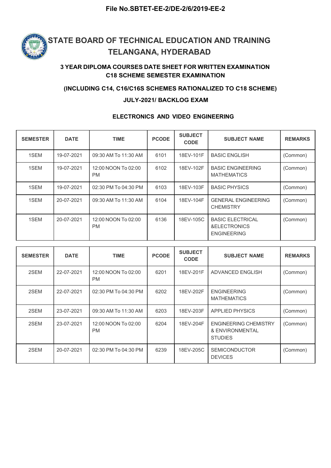

### 3 YEAR DIPLOMA COURSES DATE SHEET FOR WRITTEN EXAMINATION C18 SCHEME SEMESTER EXAMINATION

#### (INCLUDING C14, C16/C16S SCHEMES RATIONALIZED TO C18 SCHEME)

#### JULY-2021/ BACKLOG EXAM

#### ELECTRONICS AND VIDEO ENGINEERING

| <b>SEMESTER</b> | <b>DATE</b> | <b>TIME</b>                      | <b>PCODE</b> | <b>SUBJECT</b><br><b>CODE</b> | <b>SUBJECT NAME</b>                                           | <b>REMARKS</b> |
|-----------------|-------------|----------------------------------|--------------|-------------------------------|---------------------------------------------------------------|----------------|
| 1SEM            | 19-07-2021  | 09:30 AM To 11:30 AM             | 6101         | 18EV-101F                     | <b>BASIC ENGLISH</b>                                          | (Common)       |
| 1SEM            | 19-07-2021  | 12:00 NOON To 02:00<br><b>PM</b> | 6102         | 18EV-102F                     | <b>BASIC ENGINEERING</b><br><b>MATHEMATICS</b>                | (Common)       |
| 1SEM            | 19-07-2021  | 02:30 PM To 04:30 PM             | 6103         | 18EV-103F                     | <b>BASIC PHYSICS</b>                                          | (Common)       |
| 1SEM            | 20-07-2021  | 09:30 AM To 11:30 AM             | 6104         | 18EV-104F                     | <b>GENERAL ENGINEERING</b><br><b>CHEMISTRY</b>                | (Common)       |
| 1SEM            | 20-07-2021  | 12:00 NOON To 02:00<br><b>PM</b> | 6136         | 18EV-105C                     | <b>BASIC ELECTRICAL</b><br>&ELECTRONICS<br><b>ENGINEERING</b> | (Common)       |

| <b>SEMESTER</b> | <b>DATE</b> | <b>TIME</b>                      | <b>PCODE</b> | <b>SUBJECT</b><br><b>CODE</b> | <b>SUBJECT NAME</b>                                               | <b>REMARKS</b> |
|-----------------|-------------|----------------------------------|--------------|-------------------------------|-------------------------------------------------------------------|----------------|
| 2SEM            | 22-07-2021  | 12:00 NOON To 02:00<br><b>PM</b> | 6201         | 18EV-201F                     | ADVANCED ENGLISH                                                  | (Common)       |
| 2SEM            | 22-07-2021  | 02:30 PM To 04:30 PM             | 6202         | 18EV-202F                     | <b>ENGINEERING</b><br><b>MATHEMATICS</b>                          | (Common)       |
| 2SEM            | 23-07-2021  | 09:30 AM To 11:30 AM             | 6203         | 18EV-203F                     | <b>APPLIED PHYSICS</b>                                            | (Common)       |
| 2SEM            | 23-07-2021  | 12:00 NOON To 02:00<br><b>PM</b> | 6204         | 18EV-204F                     | <b>ENGINEERING CHEMISTRY</b><br>& ENVIRONMENTAL<br><b>STUDIES</b> | (Common)       |
| 2SEM            | 20-07-2021  | 02:30 PM To 04:30 PM             | 6239         | 18EV-205C                     | <b>SEMICONDUCTOR</b><br><b>DEVICES</b>                            | (Common)       |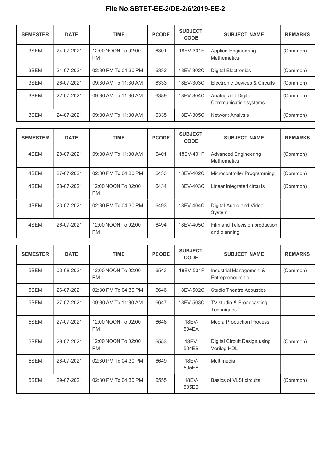| <b>SEMESTER</b> | <b>DATE</b> | <b>TIME</b>                      | <b>PCODE</b> | <b>SUBJECT</b><br><b>CODE</b> | <b>SUBJECT NAME</b>                         | <b>REMARKS</b> |
|-----------------|-------------|----------------------------------|--------------|-------------------------------|---------------------------------------------|----------------|
| 3SEM            | 24-07-2021  | 12:00 NOON To 02:00<br><b>PM</b> | 6301         | 18EV-301F                     | <b>Applied Engineering</b><br>Mathematics   | (Common)       |
| 3SEM            | 24-07-2021  | 02:30 PM To 04:30 PM             | 6332         | 18EV-302C                     | <b>Digital Electronics</b>                  | (Common)       |
| 3SEM            | 26-07-2021  | 09:30 AM To 11:30 AM             | 6333         | 18EV-303C                     | Electronic Devices & Circuits               | (Common)       |
| 3SEM            | 22-07-2021  | 09:30 AM To 11:30 AM             | 6389         | 18EV-304C                     | Analog and Digital<br>Communication systems | (Common)       |
| 3SEM            | 24-07-2021  | 09:30 AM To 11:30 AM             | 6335         | 18EV-305C                     | <b>Network Analysis</b>                     | (Common)       |

| <b>SEMESTER</b> | <b>DATE</b> | <b>TIME</b>                      | <b>PCODE</b> | <b>SUBJECT</b><br><b>CODE</b> | <b>SUBJECT NAME</b>                            | <b>REMARKS</b> |
|-----------------|-------------|----------------------------------|--------------|-------------------------------|------------------------------------------------|----------------|
| 4SEM            | 28-07-2021  | 09:30 AM To 11:30 AM             | 6401         | 18EV-401F                     | <b>Advanced Engineering</b><br>Mathematics     | (Common)       |
| 4SEM            | 27-07-2021  | 02:30 PM To 04:30 PM             | 6433         | 18EV-402C                     | Microcontroller Programming                    | (Common)       |
| 4SEM            | 28-07-2021  | 12:00 NOON To 02:00<br><b>PM</b> | 6434         | 18EV-403C                     | Linear Integrated circuits                     | (Common)       |
| 4SEM            | 23-07-2021  | 02:30 PM To 04:30 PM             | 6493         | 18EV-404C                     | Digital Audio and Video<br>System              |                |
| 4SEM            | 26-07-2021  | 12:00 NOON To 02:00<br><b>PM</b> | 6494         | 18EV-405C                     | Film and Television production<br>and planning |                |

| <b>SEMESTER</b> | <b>DATE</b> | <b>TIME</b>                      | <b>PCODE</b> | <b>SUBJECT</b><br><b>CODE</b> | <b>SUBJECT NAME</b>                         | <b>REMARKS</b> |
|-----------------|-------------|----------------------------------|--------------|-------------------------------|---------------------------------------------|----------------|
| 5SEM            | 03-08-2021  | 12:00 NOON To 02:00<br><b>PM</b> | 6543         | 18EV-501F                     | Industrial Management &<br>Entrepreneurship | (Common)       |
| 5SEM            | 26-07-2021  | 02:30 PM To 04:30 PM             | 6646         | 18EV-502C                     | <b>Studio Theatre Acoustics</b>             |                |
| 5SEM            | 27-07-2021  | 09:30 AM To 11:30 AM             | 6647         | 18EV-503C                     | TV studio & Broadcasting<br>Techniques      |                |
| 5SEM            | 27-07-2021  | 12:00 NOON To 02:00<br><b>PM</b> | 6648         | 18EV-<br>504EA                | <b>Media Production Process</b>             |                |
| 5SEM            | 29-07-2021  | 12:00 NOON To 02:00<br><b>PM</b> | 6553         | 18EV-<br>504EB                | Digital Circuit Design using<br>Verilog HDL | (Common)       |
| 5SEM            | 28-07-2021  | 02:30 PM To 04:30 PM             | 6649         | 18EV-<br>505EA                | Multimedia                                  |                |
| 5SEM            | 29-07-2021  | 02:30 PM To 04:30 PM             | 6555         | 18EV-<br>505EB                | Basics of VLSI circuits                     | (Common)       |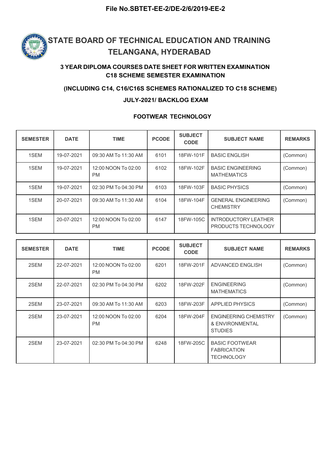

### 3 YEAR DIPLOMA COURSES DATE SHEET FOR WRITTEN EXAMINATION C18 SCHEME SEMESTER EXAMINATION

#### (INCLUDING C14, C16/C16S SCHEMES RATIONALIZED TO C18 SCHEME)

#### JULY-2021/ BACKLOG EXAM

#### FOOTWEAR TECHNOLOGY

| <b>SEMESTER</b> | <b>DATE</b> | <b>TIME</b>                      | <b>PCODE</b> | <b>SUBJECT</b><br><b>CODE</b> | <b>SUBJECT NAME</b>                                       | <b>REMARKS</b> |
|-----------------|-------------|----------------------------------|--------------|-------------------------------|-----------------------------------------------------------|----------------|
| 1SEM            | 19-07-2021  | 09:30 AM To 11:30 AM             | 6101         | 18FW-101F                     | <b>BASIC ENGLISH</b>                                      | (Common)       |
| 1SEM            | 19-07-2021  | 12:00 NOON To 02:00<br><b>PM</b> | 6102         | 18FW-102F                     | <b>BASIC ENGINEERING</b><br><b>MATHEMATICS</b>            | (Common)       |
| 1SEM            | 19-07-2021  | 02:30 PM To 04:30 PM             | 6103         | 18FW-103F                     | <b>BASIC PHYSICS</b>                                      | (Common)       |
| 1SEM            | 20-07-2021  | 09:30 AM To 11:30 AM             | 6104         | 18FW-104F                     | <b>GENERAL ENGINEERING</b><br><b>CHEMISTRY</b>            | (Common)       |
| 1SEM            | 20-07-2021  | 12:00 NOON To 02:00<br><b>PM</b> | 6147         | 18FW-105C                     | <b>INTRODUCTORY LEATHER</b><br><b>PRODUCTS TECHNOLOGY</b> |                |

| <b>SEMESTER</b> | <b>DATE</b> | <b>TIME</b>                      | <b>PCODE</b> | <b>SUBJECT</b><br><b>CODE</b> | <b>SUBJECT NAME</b>                                               | <b>REMARKS</b> |
|-----------------|-------------|----------------------------------|--------------|-------------------------------|-------------------------------------------------------------------|----------------|
| 2SEM            | 22-07-2021  | 12:00 NOON To 02:00<br><b>PM</b> | 6201         | 18FW-201F                     | <b>ADVANCED ENGLISH</b>                                           | (Common)       |
| 2SEM            | 22-07-2021  | 02:30 PM To 04:30 PM             | 6202         | 18FW-202F                     | <b>ENGINEERING</b><br><b>MATHEMATICS</b>                          | (Common)       |
| 2SEM            | 23-07-2021  | 09:30 AM To 11:30 AM             | 6203         | 18FW-203F                     | <b>APPLIED PHYSICS</b>                                            | (Common)       |
| 2SEM            | 23-07-2021  | 12:00 NOON To 02:00<br><b>PM</b> | 6204         | 18FW-204F                     | <b>ENGINEERING CHEMISTRY</b><br>& ENVIRONMENTAL<br><b>STUDIES</b> | (Common)       |
| 2SEM            | 23-07-2021  | 02:30 PM To 04:30 PM             | 6248         | 18FW-205C                     | <b>BASIC FOOTWEAR</b><br><b>FABRICATION</b><br><b>TECHNOLOGY</b>  |                |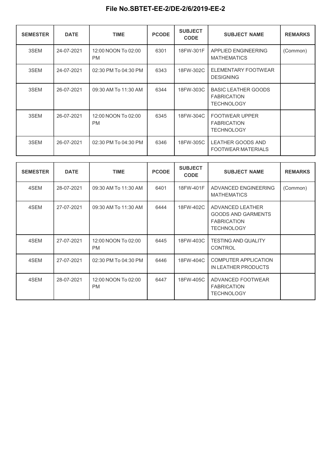| <b>SEMESTER</b> | <b>DATE</b> | <b>TIME</b>                      | <b>PCODE</b> | <b>SUBJECT</b><br><b>CODE</b> | <b>SUBJECT NAME</b>                                                   | <b>REMARKS</b> |
|-----------------|-------------|----------------------------------|--------------|-------------------------------|-----------------------------------------------------------------------|----------------|
| 3SEM            | 24-07-2021  | 12:00 NOON To 02:00<br><b>PM</b> | 6301         | 18FW-301F                     | APPLIED ENGINEERING<br><b>MATHEMATICS</b>                             | (Common)       |
| 3SEM            | 24-07-2021  | 02:30 PM To 04:30 PM             | 6343         | 18FW-302C                     | ELEMENTARY FOOTWEAR<br><b>DESIGNING</b>                               |                |
| 3SEM            | 26-07-2021  | 09:30 AM To 11:30 AM             | 6344         | 18FW-303C                     | <b>BASIC LEATHER GOODS</b><br><b>FABRICATION</b><br><b>TECHNOLOGY</b> |                |
| 3SEM            | 26-07-2021  | 12:00 NOON To 02:00<br><b>PM</b> | 6345         | 18FW-304C                     | <b>FOOTWEAR UPPER</b><br><b>FABRICATION</b><br><b>TECHNOLOGY</b>      |                |
| 3SEM            | 26-07-2021  | 02:30 PM To 04:30 PM             | 6346         | 18FW-305C                     | LEATHER GOODS AND<br><b>FOOTWEAR MATERIALS</b>                        |                |

| <b>SEMESTER</b> | <b>DATE</b> | <b>TIME</b>                      | <b>PCODE</b> | <b>SUBJECT</b><br><b>CODE</b> | <b>SUBJECT NAME</b>                                                                             | <b>REMARKS</b> |
|-----------------|-------------|----------------------------------|--------------|-------------------------------|-------------------------------------------------------------------------------------------------|----------------|
| 4SEM            | 28-07-2021  | 09:30 AM To 11:30 AM             | 6401         | 18FW-401F                     | ADVANCED ENGINEERING<br><b>MATHEMATICS</b>                                                      | (Common)       |
| 4SEM            | 27-07-2021  | 09:30 AM To 11:30 AM             | 6444         | 18FW-402C                     | <b>ADVANCED LEATHER</b><br><b>GOODS AND GARMENTS</b><br><b>FABRICATION</b><br><b>TECHNOLOGY</b> |                |
| 4SEM            | 27-07-2021  | 12:00 NOON To 02:00<br><b>PM</b> | 6445         | 18FW-403C                     | <b>TESTING AND QUALITY</b><br><b>CONTROL</b>                                                    |                |
| 4SEM            | 27-07-2021  | 02:30 PM To 04:30 PM             | 6446         | 18FW-404C                     | <b>COMPUTER APPLICATION</b><br>IN LEATHER PRODUCTS                                              |                |
| 4SEM            | 28-07-2021  | 12:00 NOON To 02:00<br><b>PM</b> | 6447         | 18FW-405C                     | ADVANCED FOOTWEAR<br><b>FABRICATION</b><br><b>TECHNOLOGY</b>                                    |                |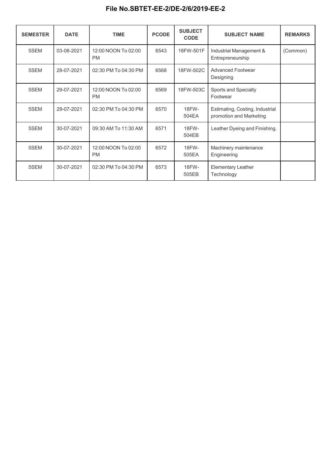| <b>SEMESTER</b> | <b>DATE</b> | <b>TIME</b>                      | <b>PCODE</b> | <b>SUBJECT</b><br><b>CODE</b> | <b>SUBJECT NAME</b>                                        | <b>REMARKS</b> |
|-----------------|-------------|----------------------------------|--------------|-------------------------------|------------------------------------------------------------|----------------|
| 5SEM            | 03-08-2021  | 12:00 NOON To 02:00<br><b>PM</b> | 6543         | 18FW-501F                     | Industrial Management &<br>Entrepreneurship                | (Common)       |
| 5SEM            | 28-07-2021  | 02:30 PM To 04:30 PM             | 6568         | 18FW-502C                     | <b>Advanced Footwear</b><br>Designing                      |                |
| 5SEM            | 29-07-2021  | 12:00 NOON To 02:00<br><b>PM</b> | 6569         | 18FW-503C                     | Sports and Specialty<br>Footwear                           |                |
| 5SEM            | 29-07-2021  | 02:30 PM To 04:30 PM             | 6570         | 18FW-<br>504EA                | Estimating, Costing, Industrial<br>promotion and Marketing |                |
| 5SEM            | 30-07-2021  | 09:30 AM To 11:30 AM             | 6571         | 18FW-<br>504EB                | Leather Dyeing and Finishing.                              |                |
| 5SEM            | 30-07-2021  | 12:00 NOON To 02:00<br><b>PM</b> | 6572         | 18FW-<br>505EA                | Machinery maintenance<br>Engineering                       |                |
| 5SEM            | 30-07-2021  | 02:30 PM To 04:30 PM             | 6573         | 18FW-<br>505EB                | Elementary Leather<br>Technology                           |                |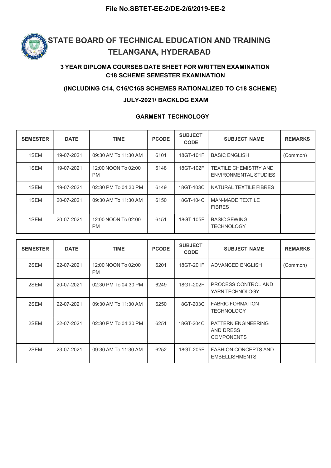

### 3 YEAR DIPLOMA COURSES DATE SHEET FOR WRITTEN EXAMINATION C18 SCHEME SEMESTER EXAMINATION

#### (INCLUDING C14, C16/C16S SCHEMES RATIONALIZED TO C18 SCHEME)

#### JULY-2021/ BACKLOG EXAM

#### GARMENT TECHNOLOGY

| <b>SEMESTER</b> | <b>DATE</b> | <b>TIME</b>                      | <b>PCODE</b> | <b>SUBJECT</b><br><b>CODE</b> | <b>SUBJECT NAME</b>                                          | <b>REMARKS</b> |
|-----------------|-------------|----------------------------------|--------------|-------------------------------|--------------------------------------------------------------|----------------|
| 1SEM            | 19-07-2021  | 09:30 AM To 11:30 AM             | 6101         | 18GT-101F                     | <b>BASIC ENGLISH</b>                                         | (Common)       |
| 1SEM            | 19-07-2021  | 12:00 NOON To 02:00<br><b>PM</b> | 6148         | 18GT-102F                     | <b>TEXTILE CHEMISTRY AND</b><br><b>ENVIRONMENTAL STUDIES</b> |                |
| 1SEM            | 19-07-2021  | 02:30 PM To 04:30 PM             | 6149         | 18GT-103C                     | NATURAL TEXTILE FIBRES                                       |                |
| 1SEM            | 20-07-2021  | 09:30 AM To 11:30 AM             | 6150         | 18GT-104C                     | <b>MAN-MADE TEXTILE</b><br><b>FIBRES</b>                     |                |
| 1SEM            | 20-07-2021  | 12:00 NOON To 02:00<br><b>PM</b> | 6151         | 18GT-105F                     | <b>BASIC SEWING</b><br><b>TECHNOLOGY</b>                     |                |

| <b>SEMESTER</b> | <b>DATE</b> | <b>TIME</b>                      | <b>PCODE</b> | <b>SUBJECT</b><br><b>CODE</b> | <b>SUBJECT NAME</b>                                          | <b>REMARKS</b> |
|-----------------|-------------|----------------------------------|--------------|-------------------------------|--------------------------------------------------------------|----------------|
| 2SEM            | 22-07-2021  | 12:00 NOON To 02:00<br><b>PM</b> | 6201         | 18GT-201F                     | <b>ADVANCED ENGLISH</b>                                      | (Common)       |
| 2SEM            | 20-07-2021  | 02:30 PM To 04:30 PM             | 6249         | 18GT-202F                     | PROCESS CONTROL AND<br>YARN TECHNOLOGY                       |                |
| 2SEM            | 22-07-2021  | 09:30 AM To 11:30 AM             | 6250         | 18GT-203C                     | <b>FABRIC FORMATION</b><br><b>TECHNOLOGY</b>                 |                |
| 2SEM            | 22-07-2021  | 02:30 PM To 04:30 PM             | 6251         | 18GT-204C                     | <b>PATTERN ENGINEERING</b><br>AND DRESS<br><b>COMPONENTS</b> |                |
| 2SEM            | 23-07-2021  | 09:30 AM To 11:30 AM             | 6252         | 18GT-205F                     | <b>FASHION CONCEPTS AND</b><br><b>EMBELLISHMENTS</b>         |                |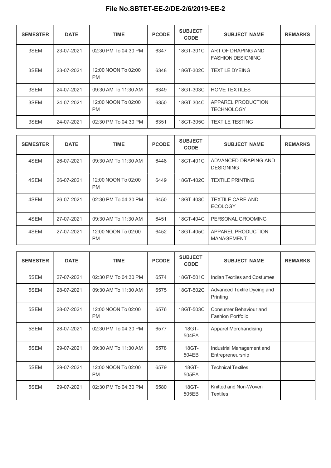| <b>SEMESTER</b> | <b>DATE</b> | <b>TIME</b>                      | <b>PCODE</b> | <b>SUBJECT</b><br><b>CODE</b> | <b>SUBJECT NAME</b>                            | <b>REMARKS</b> |
|-----------------|-------------|----------------------------------|--------------|-------------------------------|------------------------------------------------|----------------|
| 3SEM            | 23-07-2021  | 02:30 PM To 04:30 PM             | 6347         | 18GT-301C                     | ART OF DRAPING AND<br><b>FASHION DESIGNING</b> |                |
| 3SEM            | 23-07-2021  | 12:00 NOON To 02:00<br><b>PM</b> | 6348         | 18GT-302C                     | <b>TEXTILE DYEING</b>                          |                |
| 3SEM            | 24-07-2021  | 09:30 AM To 11:30 AM             | 6349         | 18GT-303C                     | <b>HOME TEXTILES</b>                           |                |
| 3SEM            | 24-07-2021  | 12:00 NOON To 02:00<br><b>PM</b> | 6350         | 18GT-304C                     | APPAREL PRODUCTION<br><b>TECHNOLOGY</b>        |                |
| 3SEM            | 24-07-2021  | 02:30 PM To 04:30 PM             | 6351         | 18GT-305C                     | <b>TEXTILE TESTING</b>                         |                |

| <b>SEMESTER</b> | <b>DATE</b> | <b>TIME</b>                      | <b>PCODE</b> | <b>SUBJECT</b><br><b>CODE</b> | <b>SUBJECT NAME</b>                       | <b>REMARKS</b> |
|-----------------|-------------|----------------------------------|--------------|-------------------------------|-------------------------------------------|----------------|
| 4SEM            | 26-07-2021  | 09:30 AM To 11:30 AM             | 6448         | 18GT-401C                     | ADVANCED DRAPING AND<br><b>DESIGNING</b>  |                |
| 4SEM            | 26-07-2021  | 12:00 NOON To 02:00<br><b>PM</b> | 6449         | 18GT-402C                     | <b>TEXTILE PRINTING</b>                   |                |
| 4SEM            | 26-07-2021  | 02:30 PM To 04:30 PM             | 6450         | 18GT-403C                     | <b>TEXTILE CARE AND</b><br><b>ECOLOGY</b> |                |
| 4SEM            | 27-07-2021  | 09:30 AM To 11:30 AM             | 6451         | 18GT-404C                     | PERSONAL GROOMING                         |                |
| 4SEM            | 27-07-2021  | 12:00 NOON To 02:00<br><b>PM</b> | 6452         | 18GT-405C                     | APPAREL PRODUCTION<br>MANAGEMENT          |                |

|                 |             | File No.SBTET-EE-2/DE-2/6/2019-EE-2 |              |                               |                                                |                |
|-----------------|-------------|-------------------------------------|--------------|-------------------------------|------------------------------------------------|----------------|
| <b>SEMESTER</b> | <b>DATE</b> | <b>TIME</b>                         | <b>PCODE</b> | <b>SUBJECT</b><br><b>CODE</b> | <b>SUBJECT NAME</b>                            | <b>REMARKS</b> |
| 3SEM            | 23-07-2021  | 02:30 PM To 04:30 PM                | 6347         | 18GT-301C                     | ART OF DRAPING AND<br><b>FASHION DESIGNING</b> |                |
| 3SEM            | 23-07-2021  | 12:00 NOON To 02:00<br><b>PM</b>    | 6348         | 18GT-302C                     | <b>TEXTILE DYEING</b>                          |                |
| 3SEM            | 24-07-2021  | 09:30 AM To 11:30 AM                | 6349         | 18GT-303C                     | <b>HOME TEXTILES</b>                           |                |
| 3SEM            | 24-07-2021  | 12:00 NOON To 02:00<br><b>PM</b>    | 6350         | 18GT-304C                     | APPAREL PRODUCTION<br><b>TECHNOLOGY</b>        |                |
| 3SEM            | 24-07-2021  | 02:30 PM To 04:30 PM                | 6351         | 18GT-305C                     | <b>TEXTILE TESTING</b>                         |                |
| <b>SEMESTER</b> | <b>DATE</b> | <b>TIME</b>                         | <b>PCODE</b> | <b>SUBJECT</b><br><b>CODE</b> | <b>SUBJECT NAME</b>                            | <b>REMARKS</b> |
| 4SEM            | 26-07-2021  | 09:30 AM To 11:30 AM                | 6448         | 18GT-401C                     | ADVANCED DRAPING AND<br><b>DESIGNING</b>       |                |
| 4SEM            | 26-07-2021  | 12:00 NOON To 02:00<br><b>PM</b>    | 6449         | 18GT-402C                     | <b>TEXTILE PRINTING</b>                        |                |
| 4SEM            | 26-07-2021  | 02:30 PM To 04:30 PM                | 6450         | 18GT-403C                     | <b>TEXTILE CARE AND</b><br><b>ECOLOGY</b>      |                |
| 4SEM            | 27-07-2021  | 09:30 AM To 11:30 AM                | 6451         | 18GT-404C                     | PERSONAL GROOMING                              |                |
| 4SEM            | 27-07-2021  | 12:00 NOON To 02:00<br>PM           | 6452         | 18GT-405C                     | APPAREL PRODUCTION<br>MANAGEMENT               |                |
|                 |             |                                     |              |                               |                                                |                |
| <b>SEMESTER</b> | <b>DATE</b> | <b>TIME</b>                         | <b>PCODE</b> | <b>SUBJECT</b><br><b>CODE</b> | <b>SUBJECT NAME</b>                            | <b>REMARKS</b> |
| 5SEM            | 27-07-2021  | 02:30 PM To 04:30 PM                | 6574         | 18GT-501C                     | Indian Textiles and Costumes                   |                |
| 5SEM            | 28-07-2021  | 09:30 AM To 11:30 AM                | 6575         | 18GT-502C                     | Advanced Textile Dyeing and<br>Printing        |                |
| 5SEM            | 28-07-2021  | 12:00 NOON To 02:00<br><b>PM</b>    | 6576         | 18GT-503C                     | Consumer Behaviour and<br>Fashion Portfolio    |                |
| 5SEM            | 28-07-2021  | 02:30 PM To 04:30 PM                | 6577         | 18GT-<br>504EA                | Apparel Merchandising                          |                |
| 5SEM            | 29-07-2021  | 09:30 AM To 11:30 AM                | 6578         | 18GT-<br>504EB                | Industrial Management and<br>Entrepreneurship  |                |
| 5SEM            | 29-07-2021  | 12:00 NOON To 02:00<br>PM           | 6579         | 18GT-<br>505EA                | <b>Technical Textiles</b>                      |                |
| 5SEM            | 29-07-2021  | 02:30 PM To 04:30 PM                | 6580         | 18GT-<br>505EB                | Knitted and Non-Woven<br>Textiles              |                |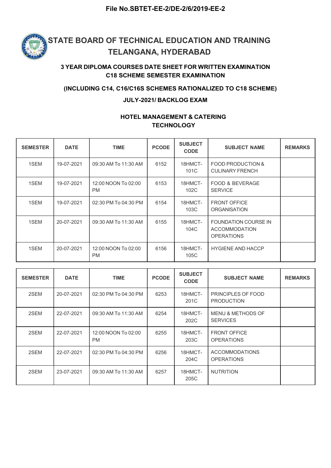

### 3 YEAR DIPLOMA COURSES DATE SHEET FOR WRITTEN EXAMINATION C18 SCHEME SEMESTER EXAMINATION

#### (INCLUDING C14, C16/C16S SCHEMES RATIONALIZED TO C18 SCHEME)

#### JULY-2021/ BACKLOG EXAM

### HOTEL MANAGEMENT & CATERING **TECHNOLOGY**

| <b>SEMESTER</b> | <b>DATE</b> | <b>TIME</b>                      | <b>PCODE</b> | <b>SUBJECT</b><br><b>CODE</b> | <b>SUBJECT NAME</b>                                                      | <b>REMARKS</b> |
|-----------------|-------------|----------------------------------|--------------|-------------------------------|--------------------------------------------------------------------------|----------------|
| 1SEM            | 19-07-2021  | 09:30 AM To 11:30 AM             | 6152         | 18HMCT-<br>101C               | FOOD PRODUCTION &<br><b>CULINARY FRENCH</b>                              |                |
| 1SEM            | 19-07-2021  | 12:00 NOON To 02:00<br><b>PM</b> | 6153         | 18HMCT-<br>102C               | FOOD & BEVERAGE<br><b>SERVICE</b>                                        |                |
| 1SEM            | 19-07-2021  | 02:30 PM To 04:30 PM             | 6154         | 18HMCT-<br>103C               | <b>FRONT OFFICE</b><br><b>ORGANISATION</b>                               |                |
| 1SEM            | 20-07-2021  | 09:30 AM To 11:30 AM             | 6155         | 18HMCT-<br>104C               | <b>FOUNDATION COURSE IN</b><br><b>ACCOMMODATION</b><br><b>OPERATIONS</b> |                |
| 1SEM            | 20-07-2021  | 12:00 NOON To 02:00<br><b>PM</b> | 6156         | 18HMCT-<br>105C               | <b>HYGIENE AND HACCP</b>                                                 |                |

| <b>SEMESTER</b> | <b>DATE</b> | <b>TIME</b>                      | <b>PCODE</b> | <b>SUBJECT</b><br><b>CODE</b> | <b>SUBJECT NAME</b>                        | <b>REMARKS</b> |
|-----------------|-------------|----------------------------------|--------------|-------------------------------|--------------------------------------------|----------------|
| 2SEM            | 20-07-2021  | 02:30 PM To 04:30 PM             | 6253         | 18HMCT-<br>201C               | PRINCIPLES OF FOOD<br><b>PRODUCTION</b>    |                |
| 2SEM            | 22-07-2021  | 09:30 AM To 11:30 AM             | 6254         | 18HMCT-<br>202C               | MENU & METHODS OF<br><b>SERVICES</b>       |                |
| 2SEM            | 22-07-2021  | 12:00 NOON To 02:00<br><b>PM</b> | 6255         | 18HMCT-<br>203C               | <b>FRONT OFFICE</b><br><b>OPERATIONS</b>   |                |
| 2SEM            | 22-07-2021  | 02:30 PM To 04:30 PM             | 6256         | 18HMCT-<br>204C               | <b>ACCOMMODATIONS</b><br><b>OPERATIONS</b> |                |
| 2SEM            | 23-07-2021  | 09:30 AM To 11:30 AM             | 6257         | 18HMCT-<br>205C               | <b>NUTRITION</b>                           |                |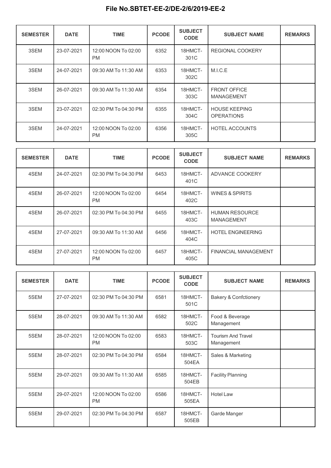| <b>SEMESTER</b> | <b>DATE</b> | <b>TIME</b>                      | <b>PCODE</b> | <b>SUBJECT</b><br><b>CODE</b> | <b>SUBJECT NAME</b>                       | <b>REMARKS</b> |
|-----------------|-------------|----------------------------------|--------------|-------------------------------|-------------------------------------------|----------------|
| 3SEM            | 23-07-2021  | 12:00 NOON To 02:00<br><b>PM</b> | 6352         | 18HMCT-<br>301C               | <b>REGIONAL COOKERY</b>                   |                |
| 3SEM            | 24-07-2021  | 09:30 AM To 11:30 AM             | 6353         | 18HMCT-<br>302C               | M.I.C.E                                   |                |
| 3SEM            | 26-07-2021  | 09:30 AM To 11:30 AM             | 6354         | 18HMCT-<br>303C               | <b>FRONT OFFICE</b><br><b>MANAGEMENT</b>  |                |
| 3SEM            | 23-07-2021  | 02:30 PM To 04:30 PM             | 6355         | 18HMCT-<br>304C               | <b>HOUSE KEEPING</b><br><b>OPERATIONS</b> |                |
| 3SEM            | 24-07-2021  | 12:00 NOON To 02:00<br><b>PM</b> | 6356         | 18HMCT-<br>305C               | <b>HOTEL ACCOUNTS</b>                     |                |

| <b>SEMESTER</b> | <b>DATE</b> | <b>TIME</b>                      | <b>PCODE</b> | <b>SUBJECT</b><br><b>CODE</b> | <b>SUBJECT NAME</b>                        | <b>REMARKS</b> |
|-----------------|-------------|----------------------------------|--------------|-------------------------------|--------------------------------------------|----------------|
| 4SEM            | 24-07-2021  | 02:30 PM To 04:30 PM             | 6453         | 18HMCT-<br>401C               | ADVANCE COOKERY                            |                |
| 4SEM            | 26-07-2021  | 12:00 NOON To 02:00<br><b>PM</b> | 6454         | 18HMCT-<br>402C               | <b>WINES &amp; SPIRITS</b>                 |                |
| 4SEM            | 26-07-2021  | 02:30 PM To 04:30 PM             | 6455         | 18HMCT-<br>403C               | <b>HUMAN RESOURCE</b><br><b>MANAGEMENT</b> |                |
| 4SEM            | 27-07-2021  | 09:30 AM To 11:30 AM             | 6456         | 18HMCT-<br>404C               | <b>HOTEL ENGINEERING</b>                   |                |
| 4SEM            | 27-07-2021  | 12:00 NOON To 02:00<br><b>PM</b> | 6457         | 18HMCT-<br>405C               | FINANCIAL MANAGEMENT                       |                |

| <b>SEMESTER</b> | <b>DATE</b> | <b>TIME</b>                      | <b>PCODE</b> | <b>SUBJECT</b><br><b>CODE</b> | <b>SUBJECT NAME</b>                     | <b>REMARKS</b> |
|-----------------|-------------|----------------------------------|--------------|-------------------------------|-----------------------------------------|----------------|
| 5SEM            | 27-07-2021  | 02:30 PM To 04:30 PM             | 6581         | 18HMCT-<br>501C               | <b>Bakery &amp; Confctionery</b>        |                |
| 5SEM            | 28-07-2021  | 09:30 AM To 11:30 AM             | 6582         | 18HMCT-<br>502C               | Food & Beverage<br>Management           |                |
| 5SEM            | 28-07-2021  | 12:00 NOON To 02:00<br><b>PM</b> | 6583         | 18HMCT-<br>503C               | <b>Tourism And Travel</b><br>Management |                |
| 5SEM            | 28-07-2021  | 02:30 PM To 04:30 PM             | 6584         | 18HMCT-<br>504EA              | Sales & Marketing                       |                |
| 5SEM            | 29-07-2021  | 09:30 AM To 11:30 AM             | 6585         | 18HMCT-<br>504EB              | <b>Facility Planning</b>                |                |
| 5SEM            | 29-07-2021  | 12:00 NOON To 02:00<br><b>PM</b> | 6586         | 18HMCT-<br>505EA              | Hotel Law                               |                |
| 5SEM            | 29-07-2021  | 02:30 PM To 04:30 PM             | 6587         | 18HMCT-<br>505EB              | Garde Manger                            |                |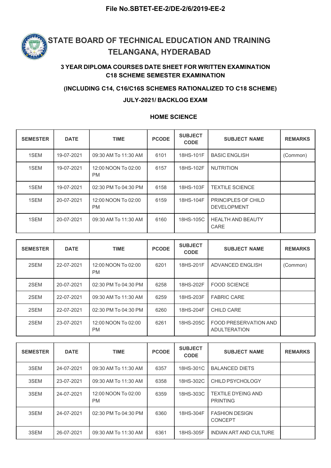

### 3 YEAR DIPLOMA COURSES DATE SHEET FOR WRITTEN EXAMINATION C18 SCHEME SEMESTER EXAMINATION

#### (INCLUDING C14, C16/C16S SCHEMES RATIONALIZED TO C18 SCHEME)

#### JULY-2021/ BACKLOG EXAM

#### HOME SCIENCE

|                 |             | <b>TELANGANA, HYDERABAD</b>            |                     |                               | STATE BOARD OF TECHNICAL EDUCATION AND TRAINING<br><b>3 YEAR DIPLOMA COURSES DATE SHEET FOR WRITTEN EXAMINATION</b> |                |
|-----------------|-------------|----------------------------------------|---------------------|-------------------------------|---------------------------------------------------------------------------------------------------------------------|----------------|
|                 |             | <b>C18 SCHEME SEMESTER EXAMINATION</b> |                     |                               |                                                                                                                     |                |
|                 |             |                                        |                     | JULY-2021/ BACKLOG EXAM       | (INCLUDING C14, C16/C16S SCHEMES RATIONALIZED TO C18 SCHEME)                                                        |                |
|                 |             |                                        | <b>HOME SCIENCE</b> |                               |                                                                                                                     |                |
| <b>SEMESTER</b> | <b>DATE</b> | <b>TIME</b>                            | <b>PCODE</b>        | <b>SUBJECT</b><br><b>CODE</b> | <b>SUBJECT NAME</b>                                                                                                 | <b>REMARKS</b> |
| 1SEM            | 19-07-2021  | 09:30 AM To 11:30 AM                   | 6101                | 18HS-101F                     | <b>BASIC ENGLISH</b>                                                                                                | (Common)       |
| 1SEM            | 19-07-2021  | 12:00 NOON To 02:00<br><b>PM</b>       | 6157                | 18HS-102F                     | <b>NUTRITION</b>                                                                                                    |                |
| 1SEM            | 19-07-2021  | 02:30 PM To 04:30 PM                   | 6158                | 18HS-103F                     | <b>TEXTILE SCIENCE</b>                                                                                              |                |
| 1SEM            | 20-07-2021  | 12:00 NOON To 02:00<br>PM              | 6159                | 18HS-104F                     | PRINCIPLES OF CHILD<br><b>DEVELOPMENT</b>                                                                           |                |
| 1SEM            | 20-07-2021  | 09:30 AM To 11:30 AM                   | 6160                | 18HS-105C                     | <b>HEALTH AND BEAUTY</b><br>CARE                                                                                    |                |
|                 |             |                                        |                     | <b>SUBJECT</b>                |                                                                                                                     |                |
| <b>SEMESTER</b> | <b>DATE</b> | <b>TIME</b>                            | <b>PCODE</b>        | <b>CODE</b>                   | <b>SUBJECT NAME</b>                                                                                                 | <b>REMARKS</b> |
| 2SEM            | 22-07-2021  | 12:00 NOON To 02:00<br>PM              | 6201                | 18HS-201F                     | ADVANCED ENGLISH                                                                                                    | (Common)       |
| 2SEM            | 20-07-2021  | 02:30 PM To 04:30 PM                   | 6258                | 18HS-202F                     | FOOD SCIENCE                                                                                                        |                |
| 2SEM            | 22-07-2021  | 09:30 AM To 11:30 AM                   | 6259                | 18HS-203F                     | <b>FABRIC CARE</b>                                                                                                  |                |
| 2SEM            | 22-07-2021  | 02:30 PM To 04:30 PM                   | 6260                | 18HS-204F                     | CHILD CARE                                                                                                          |                |
|                 |             |                                        |                     |                               |                                                                                                                     |                |

| 1SEM<br>19-07-2021<br>12:00 NOON To 02:00<br>6157<br>18HS-102F<br><b>NUTRITION</b><br><b>PM</b><br>1SEM<br>18HS-103F<br>19-07-2021<br>02:30 PM To 04:30 PM<br>6158<br><b>TEXTILE SCIENCE</b><br>12:00 NOON To 02:00<br>18HS-104F<br>PRINCIPLES OF CHILD<br>1SEM<br>20-07-2021<br>6159<br><b>PM</b><br><b>DEVELOPMENT</b><br>1SEM<br>20-07-2021<br>6160<br>18HS-105C<br><b>HEALTH AND BEAUTY</b><br>09:30 AM To 11:30 AM<br>CARE<br><b>SUBJECT</b><br><b>PCODE</b><br><b>SEMESTER</b><br><b>DATE</b><br><b>TIME</b><br><b>REMARKS</b><br><b>SUBJECT NAME</b><br><b>CODE</b><br>2SEM<br>12:00 NOON To 02:00<br>18HS-201F<br>22-07-2021<br>6201<br>ADVANCED ENGLISH<br>(Common)<br><b>PM</b><br>2SEM<br>20-07-2021<br>02:30 PM To 04:30 PM<br>6258<br>18HS-202F<br><b>FOOD SCIENCE</b><br>2SEM<br>22-07-2021<br>09:30 AM To 11:30 AM<br>6259<br>18HS-203F<br><b>FABRIC CARE</b><br>2SEM<br>02:30 PM To 04:30 PM<br>6260<br>18HS-204F<br><b>CHILD CARE</b><br>22-07-2021<br>12:00 NOON To 02:00<br><b>FOOD PRESERVATION AND</b><br>2SEM<br>23-07-2021<br>6261<br>18HS-205C<br><b>ADULTERATION</b><br><b>PM</b> | 1SEM | 19-07-2021 | 09:30 AM To 11:30 AM | 6101 | 18HS-101F | <b>BASIC ENGLISH</b> | (Common) |
|------------------------------------------------------------------------------------------------------------------------------------------------------------------------------------------------------------------------------------------------------------------------------------------------------------------------------------------------------------------------------------------------------------------------------------------------------------------------------------------------------------------------------------------------------------------------------------------------------------------------------------------------------------------------------------------------------------------------------------------------------------------------------------------------------------------------------------------------------------------------------------------------------------------------------------------------------------------------------------------------------------------------------------------------------------------------------------------------------------|------|------------|----------------------|------|-----------|----------------------|----------|
|                                                                                                                                                                                                                                                                                                                                                                                                                                                                                                                                                                                                                                                                                                                                                                                                                                                                                                                                                                                                                                                                                                            |      |            |                      |      |           |                      |          |
|                                                                                                                                                                                                                                                                                                                                                                                                                                                                                                                                                                                                                                                                                                                                                                                                                                                                                                                                                                                                                                                                                                            |      |            |                      |      |           |                      |          |
|                                                                                                                                                                                                                                                                                                                                                                                                                                                                                                                                                                                                                                                                                                                                                                                                                                                                                                                                                                                                                                                                                                            |      |            |                      |      |           |                      |          |
|                                                                                                                                                                                                                                                                                                                                                                                                                                                                                                                                                                                                                                                                                                                                                                                                                                                                                                                                                                                                                                                                                                            |      |            |                      |      |           |                      |          |
|                                                                                                                                                                                                                                                                                                                                                                                                                                                                                                                                                                                                                                                                                                                                                                                                                                                                                                                                                                                                                                                                                                            |      |            |                      |      |           |                      |          |
|                                                                                                                                                                                                                                                                                                                                                                                                                                                                                                                                                                                                                                                                                                                                                                                                                                                                                                                                                                                                                                                                                                            |      |            |                      |      |           |                      |          |
|                                                                                                                                                                                                                                                                                                                                                                                                                                                                                                                                                                                                                                                                                                                                                                                                                                                                                                                                                                                                                                                                                                            |      |            |                      |      |           |                      |          |
|                                                                                                                                                                                                                                                                                                                                                                                                                                                                                                                                                                                                                                                                                                                                                                                                                                                                                                                                                                                                                                                                                                            |      |            |                      |      |           |                      |          |
|                                                                                                                                                                                                                                                                                                                                                                                                                                                                                                                                                                                                                                                                                                                                                                                                                                                                                                                                                                                                                                                                                                            |      |            |                      |      |           |                      |          |
|                                                                                                                                                                                                                                                                                                                                                                                                                                                                                                                                                                                                                                                                                                                                                                                                                                                                                                                                                                                                                                                                                                            |      |            |                      |      |           |                      |          |
|                                                                                                                                                                                                                                                                                                                                                                                                                                                                                                                                                                                                                                                                                                                                                                                                                                                                                                                                                                                                                                                                                                            |      |            |                      |      |           |                      |          |
|                                                                                                                                                                                                                                                                                                                                                                                                                                                                                                                                                                                                                                                                                                                                                                                                                                                                                                                                                                                                                                                                                                            |      |            |                      |      |           |                      |          |

| 2SEM            | 22-07-2021  | 09:30 AM To 11:30 AM             | 6259         | 18HS-203F                     | <b>FABRIC CARE</b>                           |                |
|-----------------|-------------|----------------------------------|--------------|-------------------------------|----------------------------------------------|----------------|
| 2SEM            | 22-07-2021  | 02:30 PM To 04:30 PM             | 6260         | 18HS-204F                     | <b>CHILD CARE</b>                            |                |
| 2SEM            | 23-07-2021  | 12:00 NOON To 02:00<br><b>PM</b> | 6261         | 18HS-205C                     | FOOD PRESERVATION AND<br><b>ADULTERATION</b> |                |
|                 |             |                                  |              |                               |                                              |                |
| <b>SEMESTER</b> | <b>DATE</b> | <b>TIME</b>                      | <b>PCODE</b> | <b>SUBJECT</b><br><b>CODE</b> | <b>SUBJECT NAME</b>                          | <b>REMARKS</b> |
| 3SEM            | 24-07-2021  | 09:30 AM To 11:30 AM             | 6357         | 18HS-301C                     | <b>BALANCED DIETS</b>                        |                |
| 3SEM            | 23-07-2021  | 09:30 AM To 11:30 AM             | 6358         | 18HS-302C                     | CHILD PSYCHOLOGY                             |                |
| 3SEM            | 24-07-2021  | 12:00 NOON To 02:00<br><b>PM</b> | 6359         | 18HS-303C                     | <b>TEXTILE DYEING AND</b><br><b>PRINTING</b> |                |
| 3SEM            | 24-07-2021  | 02:30 PM To 04:30 PM             | 6360         | 18HS-304F                     | <b>FASHION DESIGN</b><br><b>CONCEPT</b>      |                |
| 3SEM            | 26-07-2021  | 09:30 AM To 11:30 AM             | 6361         | 18HS-305F                     | <b>INDIAN ART AND CULTURE</b>                |                |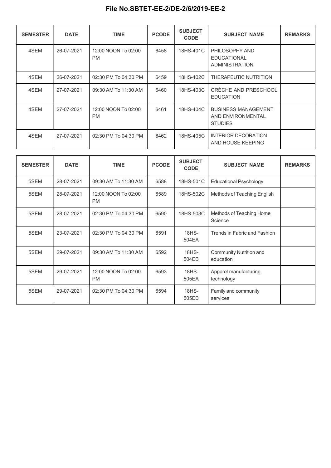| <b>SEMESTER</b> | <b>DATE</b> | <b>TIME</b>                      | <b>PCODE</b> | <b>SUBJECT</b><br><b>CODE</b> | <b>SUBJECT NAME</b>                                               | <b>REMARKS</b> |
|-----------------|-------------|----------------------------------|--------------|-------------------------------|-------------------------------------------------------------------|----------------|
| 4SEM            | 26-07-2021  | 12:00 NOON To 02:00<br><b>PM</b> | 6458         | 18HS-401C                     | PHILOSOPHY AND<br><b>EDUCATIONAL</b><br>ADMINISTRATION            |                |
| 4SEM            | 26-07-2021  | 02:30 PM To 04:30 PM             | 6459         | 18HS-402C                     | THERAPEUTIC NUTRITION                                             |                |
| 4SEM            | 27-07-2021  | 09:30 AM To 11:30 AM             | 6460         | 18HS-403C                     | CRÈCHE AND PRESCHOOL<br><b>EDUCATION</b>                          |                |
| 4SEM            | 27-07-2021  | 12:00 NOON To 02:00<br><b>PM</b> | 6461         | 18HS-404C                     | <b>BUSINESS MANAGEMENT</b><br>AND ENVIRONMENTAL<br><b>STUDIES</b> |                |
| 4SEM            | 27-07-2021  | 02:30 PM To 04:30 PM             | 6462         | 18HS-405C                     | <b>INTERIOR DECORATION</b><br>AND HOUSE KEEPING                   |                |

| <b>SEMESTER</b> | <b>DATE</b> | <b>TIME</b>                      | <b>PCODE</b> | <b>SUBJECT</b><br><b>CODE</b> | <b>SUBJECT NAME</b>                  | <b>REMARKS</b> |
|-----------------|-------------|----------------------------------|--------------|-------------------------------|--------------------------------------|----------------|
| 5SEM            | 28-07-2021  | 09:30 AM To 11:30 AM             | 6588         | 18HS-501C                     | <b>Educational Psychology</b>        |                |
| 5SEM            | 28-07-2021  | 12:00 NOON To 02:00<br><b>PM</b> | 6589         | 18HS-502C                     | Methods of Teaching English          |                |
| 5SEM            | 28-07-2021  | 02:30 PM To 04:30 PM             | 6590         | 18HS-503C                     | Methods of Teaching Home<br>Science  |                |
| 5SEM            | 23-07-2021  | 02:30 PM To 04:30 PM             | 6591         | 18HS-<br>504EA                | Trends in Fabric and Fashion         |                |
| 5SEM            | 29-07-2021  | 09:30 AM To 11:30 AM             | 6592         | 18HS-<br>504EB                | Community Nutrition and<br>education |                |
| 5SEM            | 29-07-2021  | 12:00 NOON To 02:00<br><b>PM</b> | 6593         | 18HS-<br>505EA                | Apparel manufacturing<br>technology  |                |
| 5SEM            | 29-07-2021  | 02:30 PM To 04:30 PM             | 6594         | 18HS-<br>505EB                | Family and community<br>services     |                |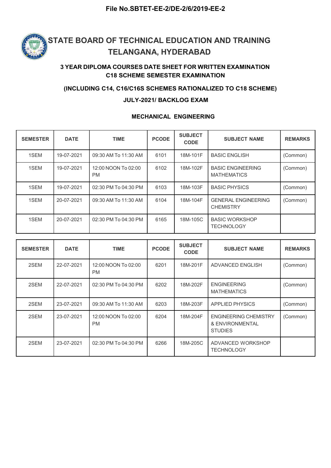

### 3 YEAR DIPLOMA COURSES DATE SHEET FOR WRITTEN EXAMINATION C18 SCHEME SEMESTER EXAMINATION

#### (INCLUDING C14, C16/C16S SCHEMES RATIONALIZED TO C18 SCHEME)

#### JULY-2021/ BACKLOG EXAM

#### MECHANICAL ENGINEERING

| <b>SEMESTER</b> | <b>DATE</b> | <b>TIME</b>                      | <b>PCODE</b> | <b>SUBJECT</b><br><b>CODE</b> | <b>SUBJECT NAME</b>                            | <b>REMARKS</b> |
|-----------------|-------------|----------------------------------|--------------|-------------------------------|------------------------------------------------|----------------|
| 1SEM            | 19-07-2021  | 09:30 AM To 11:30 AM             | 6101         | 18M-101F                      | <b>BASIC ENGLISH</b>                           | (Common)       |
| 1SEM            | 19-07-2021  | 12:00 NOON To 02:00<br><b>PM</b> | 6102         | 18M-102F                      | <b>BASIC ENGINEERING</b><br><b>MATHEMATICS</b> | (Common)       |
| 1SEM            | 19-07-2021  | 02:30 PM To 04:30 PM             | 6103         | 18M-103F                      | <b>BASIC PHYSICS</b>                           | (Common)       |
| 1SEM            | 20-07-2021  | 09:30 AM To 11:30 AM             | 6104         | 18M-104F                      | <b>GENERAL ENGINEERING</b><br><b>CHEMISTRY</b> | (Common)       |
| 1SEM            | 20-07-2021  | 02:30 PM To 04:30 PM             | 6165         | 18M-105C                      | <b>BASIC WORKSHOP</b><br><b>TECHNOLOGY</b>     |                |

| <b>SEMESTER</b> | <b>DATE</b> | <b>TIME</b>                      | <b>PCODE</b> | <b>SUBJECT</b><br><b>CODE</b> | <b>SUBJECT NAME</b>                                               | <b>REMARKS</b> |
|-----------------|-------------|----------------------------------|--------------|-------------------------------|-------------------------------------------------------------------|----------------|
| 2SEM            | 22-07-2021  | 12:00 NOON To 02:00<br><b>PM</b> | 6201         | 18M-201F                      | ADVANCED ENGLISH                                                  | (Common)       |
| 2SEM            | 22-07-2021  | 02:30 PM To 04:30 PM             | 6202         | 18M-202F                      | <b>ENGINEERING</b><br><b>MATHEMATICS</b>                          | (Common)       |
| 2SEM            | 23-07-2021  | 09:30 AM To 11:30 AM             | 6203         | 18M-203F                      | <b>APPLIED PHYSICS</b>                                            | (Common)       |
| 2SEM            | 23-07-2021  | 12:00 NOON To 02:00<br><b>PM</b> | 6204         | 18M-204F                      | <b>ENGINEERING CHEMISTRY</b><br>& ENVIRONMENTAL<br><b>STUDIES</b> | (Common)       |
| 2SEM            | 23-07-2021  | 02:30 PM To 04:30 PM             | 6266         | 18M-205C                      | ADVANCED WORKSHOP<br><b>TECHNOLOGY</b>                            |                |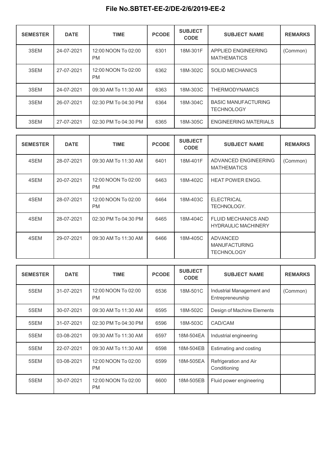| <b>SEMESTER</b> | <b>DATE</b> | <b>TIME</b>                      | <b>PCODE</b> | <b>SUBJECT</b><br><b>CODE</b> | <b>SUBJECT NAME</b>                             | <b>REMARKS</b> |
|-----------------|-------------|----------------------------------|--------------|-------------------------------|-------------------------------------------------|----------------|
| 3SEM            | 24-07-2021  | 12:00 NOON To 02:00<br><b>PM</b> | 6301         | 18M-301F                      | APPLIED ENGINEERING<br><b>MATHEMATICS</b>       | (Common)       |
| 3SEM            | 27-07-2021  | 12:00 NOON To 02:00<br><b>PM</b> | 6362         | 18M-302C                      | <b>SOLID MECHANICS</b>                          |                |
| 3SEM            | 24-07-2021  | 09:30 AM To 11:30 AM             | 6363         | 18M-303C                      | <b>THERMODYNAMICS</b>                           |                |
| 3SEM            | 26-07-2021  | 02:30 PM To 04:30 PM             | 6364         | 18M-304C                      | <b>BASIC MANUFACTURING</b><br><b>TECHNOLOGY</b> |                |
| 3SEM            | 27-07-2021  | 02:30 PM To 04:30 PM             | 6365         | 18M-305C                      | <b>ENGINEERING MATERIALS</b>                    |                |

| <b>SEMESTER</b> | <b>DATE</b> | <b>TIME</b>                      | <b>PCODE</b> | <b>SUBJECT</b><br><b>CODE</b> | <b>SUBJECT NAME</b>                                      | <b>REMARKS</b> |
|-----------------|-------------|----------------------------------|--------------|-------------------------------|----------------------------------------------------------|----------------|
| 4SEM            | 28-07-2021  | 09:30 AM To 11:30 AM             | 6401         | 18M-401F                      | ADVANCED ENGINEERING<br><b>MATHEMATICS</b>               | (Common)       |
| 4SEM            | 20-07-2021  | 12:00 NOON To 02:00<br><b>PM</b> | 6463         | 18M-402C                      | <b>HEAT POWER ENGG.</b>                                  |                |
| 4SEM            | 28-07-2021  | 12:00 NOON To 02:00<br><b>PM</b> | 6464         | 18M-403C                      | <b>ELECTRICAL</b><br><b>TECHNOLOGY.</b>                  |                |
| 4SEM            | 28-07-2021  | 02:30 PM To 04:30 PM             | 6465         | 18M-404C                      | <b>FLUID MECHANICS AND</b><br><b>HYDRAULIC MACHINERY</b> |                |
| 4SEM            | 29-07-2021  | 09:30 AM To 11:30 AM             | 6466         | 18M-405C                      | ADVANCED<br><b>MANUFACTURING</b><br><b>TECHNOLOGY</b>    |                |

| <b>SEMESTER</b> | <b>DATE</b> | <b>TIME</b>                      | <b>PCODE</b> | <b>SUBJECT</b><br><b>CODE</b> | <b>SUBJECT NAME</b>                           | <b>REMARKS</b> |
|-----------------|-------------|----------------------------------|--------------|-------------------------------|-----------------------------------------------|----------------|
| 5SEM            | 31-07-2021  | 12:00 NOON To 02:00<br><b>PM</b> | 6536         | 18M-501C                      | Industrial Management and<br>Entrepreneurship | (Common)       |
| 5SEM            | 30-07-2021  | 09:30 AM To 11:30 AM             | 6595         | 18M-502C                      | Design of Machine Elements                    |                |
| 5SEM            | 31-07-2021  | 02:30 PM To 04:30 PM             | 6596         | 18M-503C                      | CAD/CAM                                       |                |
| 5SEM            | 03-08-2021  | 09:30 AM To 11:30 AM             | 6597         | 18M-504EA                     | Industrial engineering                        |                |
| 5SEM            | 22-07-2021  | 09:30 AM To 11:30 AM             | 6598         | 18M-504EB                     | Estimating and costing                        |                |
| 5SEM            | 03-08-2021  | 12:00 NOON To 02:00<br><b>PM</b> | 6599         | 18M-505EA                     | Refrigeration and Air<br>Conditioning         |                |
| 5SEM            | 30-07-2021  | 12:00 NOON To 02:00<br><b>PM</b> | 6600         | 18M-505EB                     | Fluid power engineering                       |                |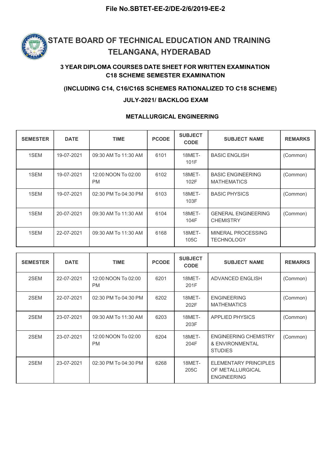

### 3 YEAR DIPLOMA COURSES DATE SHEET FOR WRITTEN EXAMINATION C18 SCHEME SEMESTER EXAMINATION

#### (INCLUDING C14, C16/C16S SCHEMES RATIONALIZED TO C18 SCHEME)

#### JULY-2021/ BACKLOG EXAM

#### METALLURGICAL ENGINEERING

| <b>SEMESTER</b> | <b>DATE</b> | <b>TIME</b>                      | <b>PCODE</b> | <b>SUBJECT</b><br><b>CODE</b> | <b>SUBJECT NAME</b>                            | <b>REMARKS</b> |
|-----------------|-------------|----------------------------------|--------------|-------------------------------|------------------------------------------------|----------------|
| 1SEM            | 19-07-2021  | 09:30 AM To 11:30 AM             | 6101         | 18MET-<br>101F                | <b>BASIC ENGLISH</b>                           | (Common)       |
| 1SEM            | 19-07-2021  | 12:00 NOON To 02:00<br><b>PM</b> | 6102         | 18MET-<br>102F                | <b>BASIC ENGINEERING</b><br><b>MATHEMATICS</b> | (Common)       |
| 1SEM            | 19-07-2021  | 02:30 PM To 04:30 PM             | 6103         | 18MET-<br>103F                | <b>BASIC PHYSICS</b>                           | (Common)       |
| 1SEM            | 20-07-2021  | 09:30 AM To 11:30 AM             | 6104         | 18MET-<br>104F                | <b>GENERAL ENGINEERING</b><br><b>CHEMISTRY</b> | (Common)       |
| 1SEM            | 22-07-2021  | 09:30 AM To 11:30 AM             | 6168         | 18MET-<br>105C                | MINERAL PROCESSING<br><b>TECHNOLOGY</b>        |                |

| <b>SEMESTER</b> | <b>DATE</b> | <b>TIME</b>                      | <b>PCODE</b> | <b>SUBJECT</b><br><b>CODE</b> | <b>SUBJECT NAME</b>                                                    | <b>REMARKS</b> |
|-----------------|-------------|----------------------------------|--------------|-------------------------------|------------------------------------------------------------------------|----------------|
| 2SEM            | 22-07-2021  | 12:00 NOON To 02:00<br><b>PM</b> | 6201         | 18MET-<br>201F                | ADVANCED ENGLISH                                                       | (Common)       |
| 2SEM            | 22-07-2021  | 02:30 PM To 04:30 PM             | 6202         | 18MET-<br>202F                | <b>ENGINEERING</b><br><b>MATHEMATICS</b>                               | (Common)       |
| 2SEM            | 23-07-2021  | 09:30 AM To 11:30 AM             | 6203         | 18MET-<br>203F                | <b>APPLIED PHYSICS</b>                                                 | (Common)       |
| 2SEM            | 23-07-2021  | 12:00 NOON To 02:00<br><b>PM</b> | 6204         | 18MET-<br>204F                | <b>ENGINEERING CHEMISTRY</b><br>& ENVIRONMENTAL<br><b>STUDIES</b>      | (Common)       |
| 2SEM            | 23-07-2021  | 02:30 PM To 04:30 PM             | 6268         | 18MET-<br>205C                | <b>ELEMENTARY PRINCIPLES</b><br>OF METALLURGICAL<br><b>ENGINEERING</b> |                |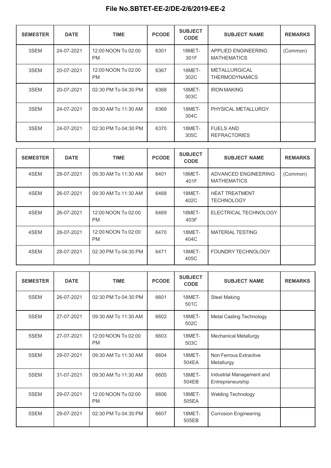| <b>SEMESTER</b> | <b>DATE</b> | <b>TIME</b>                      | <b>PCODE</b> | <b>SUBJECT</b><br><b>CODE</b> | <b>SUBJECT NAME</b>                           | <b>REMARKS</b> |
|-----------------|-------------|----------------------------------|--------------|-------------------------------|-----------------------------------------------|----------------|
| 3SEM            | 24-07-2021  | 12:00 NOON To 02:00<br><b>PM</b> | 6301         | 18MET-<br>301F                | APPLIED ENGINEERING<br><b>MATHEMATICS</b>     | (Common)       |
| 3SEM            | 20-07-2021  | 12:00 NOON To 02:00<br><b>PM</b> | 6367         | 18MET-<br>302C                | <b>METALLURGICAL</b><br><b>THERMODYNAMICS</b> |                |
| 3SEM            | 20-07-2021  | 02:30 PM To 04:30 PM             | 6368         | 18MET-<br>303C                | <b>IRON MAKING</b>                            |                |
| 3SEM            | 24-07-2021  | 09:30 AM To 11:30 AM             | 6369         | 18MET-<br>304C                | PHYSICAL METALLURGY                           |                |
| 3SEM            | 24-07-2021  | 02:30 PM To 04:30 PM             | 6370         | 18MET-<br>305C                | <b>FUELS AND</b><br><b>REFRACTORIES</b>       |                |

| <b>SEMESTER</b> | <b>DATE</b> | <b>TIME</b>                      | <b>PCODE</b> | <b>SUBJECT</b><br><b>CODE</b> | <b>SUBJECT NAME</b>                        | <b>REMARKS</b> |
|-----------------|-------------|----------------------------------|--------------|-------------------------------|--------------------------------------------|----------------|
| 4SEM            | 28-07-2021  | 09:30 AM To 11:30 AM             | 6401         | 18MET-<br>401F                | ADVANCED ENGINEERING<br><b>MATHEMATICS</b> | (Common)       |
| 4SEM            | 26-07-2021  | 09:30 AM To 11:30 AM             | 6468         | 18MET-<br>402C                | <b>HEAT TREATMENT</b><br><b>TECHNOLOGY</b> |                |
| 4SEM            | 26-07-2021  | 12:00 NOON To 02:00<br><b>PM</b> | 6469         | 18MET-<br>403F                | ELECTRICAL TECHNOLOGY                      |                |
| 4SEM            | 28-07-2021  | 12:00 NOON To 02:00<br><b>PM</b> | 6470         | 18MET-<br>404C                | <b>MATERIAL TESTING</b>                    |                |
| 4SEM            | 28-07-2021  | 02:30 PM To 04:30 PM             | 6471         | 18MET-<br>405C                | <b>FOUNDRY TECHNOLOGY</b>                  |                |

| <b>SEMESTER</b> | <b>DATE</b> | <b>TIME</b>                      | <b>PCODE</b> | <b>SUBJECT</b><br><b>CODE</b> | <b>SUBJECT NAME</b>                           | <b>REMARKS</b> |
|-----------------|-------------|----------------------------------|--------------|-------------------------------|-----------------------------------------------|----------------|
| 5SEM            | 26-07-2021  | 02:30 PM To 04:30 PM             | 6601         | 18MET-<br>501C                | <b>Steel Making</b>                           |                |
| 5SEM            | 27-07-2021  | 09:30 AM To 11:30 AM             | 6602         | 18MET-<br>502C                | <b>Metal Casting Technology</b>               |                |
| 5SEM            | 27-07-2021  | 12:00 NOON To 02:00<br><b>PM</b> | 6603         | 18MET-<br>503C                | <b>Mechanical Metallurgy</b>                  |                |
| 5SEM            | 29-07-2021  | 09:30 AM To 11:30 AM             | 6604         | 18MET-<br>504EA               | Non Ferrous Extractive<br>Metallurgy          |                |
| 5SEM            | 31-07-2021  | 09:30 AM To 11:30 AM             | 6605         | 18MET-<br>504EB               | Industrial Management and<br>Entrepreneurship |                |
| 5SEM            | 29-07-2021  | 12:00 NOON To 02:00<br><b>PM</b> | 6606         | 18MET-<br>505EA               | <b>Welding Technology</b>                     |                |
| 5SEM            | 29-07-2021  | 02:30 PM To 04:30 PM             | 6607         | 18MET-<br>505EB               | <b>Corrosion Engineering</b>                  |                |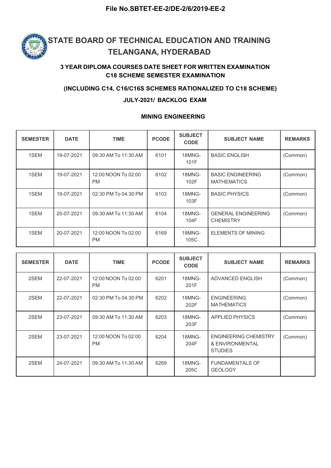

#### 3 YEAR DIPLOMA COURSES DATE SHEET FOR WRITTEN EXAMINATION C18 SCHEME SEMESTER EXAMINATION

#### (INCLUDING C14, C16/C16S SCHEMES RATIONALIZED TO C18 SCHEME)

#### JULY-2021/ BACKLOG EXAM

#### SEMESTER DATE TIME RODE SUBJECT SUBJECT SUBJECT RAME R CODE SUBJECT NAME REMARKS 1SEM | 19-07-2021 | 09:30 AM To 11:30 AM | 6101 | 18MNG- | BASIC ENGLISH | (Common) 101F **BASIC ENGLISH** 1SEM | 19-07-2021 | 12:00 NOON To 02:00 | 6102 | 18MNG-PM 102F MATHEMATICS 6102 | 18MNG- | BASIC ENGINEERING | (Common) (Common) 1SEM | 19-07-2021 | 02:30 PM To 04:30 PM | 6103 | 18MNG- | BASIC PHYSICS | (Common) 103F **BASIC PHYSICS** 1SEM | 20-07-2021 | 09:30 AM To 11:30 AM | 6104 | 18MNG- | GENERAL ENGINEERING | (Common) | 104F CHEMISTRY (Common) 1SEM 20-07-2021 12:00 NOON To 02:00 6169 18MNG-PM 6169 18MNG-ELEMENTS OF MINING 105C

#### MINING ENGINEERING

| <b>SEMESTER</b> | <b>DATE</b> | <b>TIME</b>                      | <b>PCODE</b> | <b>SUBJECT</b><br><b>CODE</b> | <b>SUBJECT NAME</b>                                               | <b>REMARKS</b> |
|-----------------|-------------|----------------------------------|--------------|-------------------------------|-------------------------------------------------------------------|----------------|
| 2SEM            | 22-07-2021  | 12:00 NOON To 02:00<br><b>PM</b> | 6201         | 18MNG-<br>201F                | ADVANCED ENGLISH                                                  | (Common)       |
| 2SEM            | 22-07-2021  | 02:30 PM To 04:30 PM             | 6202         | 18MNG-<br>202F                | <b>ENGINEERING</b><br><b>MATHEMATICS</b>                          | (Common)       |
| 2SEM            | 23-07-2021  | 09:30 AM To 11:30 AM             | 6203         | 18MNG-<br>203F                | <b>APPLIED PHYSICS</b>                                            | (Common)       |
| 2SEM            | 23-07-2021  | 12:00 NOON To 02:00<br><b>PM</b> | 6204         | 18MNG-<br>204F                | <b>ENGINEERING CHEMISTRY</b><br>& ENVIRONMENTAL<br><b>STUDIES</b> | (Common)       |
| 2SEM            | 24-07-2021  | 09:30 AM To 11:30 AM             | 6269         | 18MNG-<br>205C                | <b>FUNDAMENTALS OF</b><br><b>GEOLOGY</b>                          |                |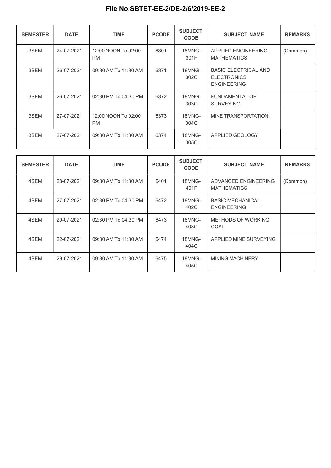| <b>SEMESTER</b> | <b>DATE</b> | <b>TIME</b>                      | <b>PCODE</b> | <b>SUBJECT</b><br><b>CODE</b> | <b>SUBJECT NAME</b>                                                     | <b>REMARKS</b> |
|-----------------|-------------|----------------------------------|--------------|-------------------------------|-------------------------------------------------------------------------|----------------|
| 3SEM            | 24-07-2021  | 12:00 NOON To 02:00<br><b>PM</b> | 6301         | 18MNG-<br>301F                | APPLIED ENGINEERING<br><b>MATHEMATICS</b>                               | (Common)       |
| 3SEM            | 26-07-2021  | 09:30 AM To 11:30 AM             | 6371         | 18MNG-<br>302C                | <b>BASIC ELECTRICAL AND</b><br><b>ELECTRONICS</b><br><b>ENGINEERING</b> |                |
| 3SEM            | 26-07-2021  | 02:30 PM To 04:30 PM             | 6372         | 18MNG-<br>303C                | <b>FUNDAMENTAL OF</b><br><b>SURVEYING</b>                               |                |
| 3SEM            | 27-07-2021  | 12:00 NOON To 02:00<br><b>PM</b> | 6373         | 18MNG-<br>304C                | MINE TRANSPORTATION                                                     |                |
| 3SEM            | 27-07-2021  | 09:30 AM To 11:30 AM             | 6374         | 18MNG-<br>305C                | APPLIED GEOLOGY                                                         |                |

| <b>SEMESTER</b> | <b>DATE</b> | <b>TIME</b>          | <b>PCODE</b> | <b>SUBJECT</b><br><b>CODE</b> | <b>SUBJECT NAME</b>                           | <b>REMARKS</b> |
|-----------------|-------------|----------------------|--------------|-------------------------------|-----------------------------------------------|----------------|
| 4SEM            | 28-07-2021  | 09:30 AM To 11:30 AM | 6401         | 18MNG-<br>401F                | ADVANCED ENGINEERING<br><b>MATHEMATICS</b>    | (Common)       |
| 4SEM            | 27-07-2021  | 02:30 PM To 04:30 PM | 6472         | 18MNG-<br>402C                | <b>BASIC MECHANICAL</b><br><b>ENGINEERING</b> |                |
| 4SEM            | 20-07-2021  | 02:30 PM To 04:30 PM | 6473         | 18MNG-<br>403C                | METHODS OF WORKING<br>COAL                    |                |
| 4SEM            | 22-07-2021  | 09:30 AM To 11:30 AM | 6474         | 18MNG-<br>404C                | APPLIED MINE SURVEYING                        |                |
| 4SEM            | 29-07-2021  | 09:30 AM To 11:30 AM | 6475         | 18MNG-<br>405C                | <b>MINING MACHINERY</b>                       |                |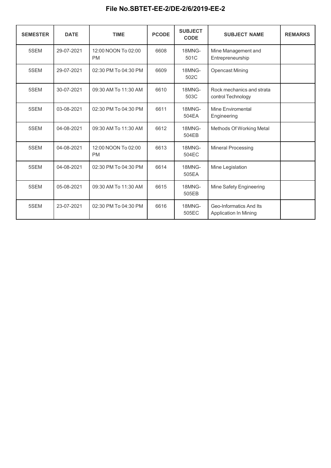| <b>SEMESTER</b> | <b>DATE</b> | <b>TIME</b>                      | <b>PCODE</b> | <b>SUBJECT</b><br><b>CODE</b> | <b>SUBJECT NAME</b>                                     | <b>REMARKS</b> |  |
|-----------------|-------------|----------------------------------|--------------|-------------------------------|---------------------------------------------------------|----------------|--|
| 5SEM            | 29-07-2021  | 12:00 NOON To 02:00<br><b>PM</b> | 6608         | 18MNG-<br>501C                | Mine Management and<br>Entrepreneurship                 |                |  |
| 5SEM            | 29-07-2021  | 02:30 PM To 04:30 PM             | 6609         | 18MNG-<br>502C                | <b>Opencast Mining</b>                                  |                |  |
| 5SEM            | 30-07-2021  | 09:30 AM To 11:30 AM             | 6610         | 18MNG-<br>503C                | Rock mechanics and strata<br>control Technology         |                |  |
| 5SEM            | 03-08-2021  | 02:30 PM To 04:30 PM             | 6611         | 18MNG-<br>504EA               | Mine Enviromental<br>Engineering                        |                |  |
| 5SEM            | 04-08-2021  | 09:30 AM To 11:30 AM             | 6612         | 18MNG-<br>504EB               | Methods Of Working Metal                                |                |  |
| 5SEM            | 04-08-2021  | 12:00 NOON To 02:00<br><b>PM</b> | 6613         | 18MNG-<br>504EC               | <b>Mineral Processing</b>                               |                |  |
| 5SEM            | 04-08-2021  | 02:30 PM To 04:30 PM             | 6614         | 18MNG-<br>505EA               | Mine Legislation                                        |                |  |
| 5SEM            | 05-08-2021  | 09:30 AM To 11:30 AM             | 6615         | 18MNG-<br>505EB               | Mine Safety Engineering                                 |                |  |
| 5SEM            | 23-07-2021  | 02:30 PM To 04:30 PM             | 6616         | 18MNG-<br>505EC               | Geo-Informatics And Its<br><b>Application In Mining</b> |                |  |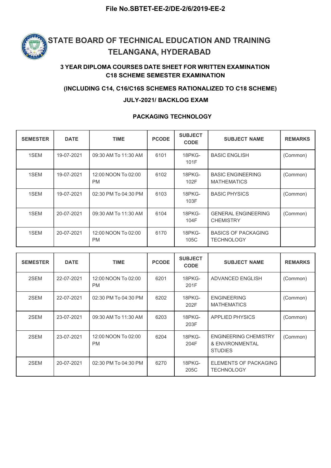

### 3 YEAR DIPLOMA COURSES DATE SHEET FOR WRITTEN EXAMINATION C18 SCHEME SEMESTER EXAMINATION

#### (INCLUDING C14, C16/C16S SCHEMES RATIONALIZED TO C18 SCHEME)

#### JULY-2021/ BACKLOG EXAM

#### PACKAGING TECHNOLOGY

| <b>SEMESTER</b> | <b>DATE</b> | <b>TIME</b>                      | <b>PCODE</b> | <b>SUBJECT</b><br><b>CODE</b> | <b>SUBJECT NAME</b>                             | <b>REMARKS</b> |
|-----------------|-------------|----------------------------------|--------------|-------------------------------|-------------------------------------------------|----------------|
| 1SEM            | 19-07-2021  | 09:30 AM To 11:30 AM             | 6101         | 18PKG-<br>101F                | <b>BASIC ENGLISH</b>                            | (Common)       |
| 1SEM            | 19-07-2021  | 12:00 NOON To 02:00<br><b>PM</b> | 6102         | 18PKG-<br>102F                | <b>BASIC ENGINEERING</b><br><b>MATHEMATICS</b>  | (Common)       |
| 1SEM            | 19-07-2021  | 02:30 PM To 04:30 PM             | 6103         | 18PKG-<br>103F                | <b>BASIC PHYSICS</b>                            | (Common)       |
| 1SEM            | 20-07-2021  | 09:30 AM To 11:30 AM             | 6104         | 18PKG-<br>104F                | <b>GENERAL ENGINEERING</b><br><b>CHEMISTRY</b>  | (Common)       |
| 1SEM            | 20-07-2021  | 12:00 NOON To 02:00<br><b>PM</b> | 6170         | 18PKG-<br>105C                | <b>BASICS OF PACKAGING</b><br><b>TECHNOLOGY</b> |                |

| <b>SEMESTER</b> | <b>DATE</b> | <b>TIME</b>                      | <b>PCODE</b> | <b>SUBJECT</b><br><b>CODE</b> | <b>SUBJECT NAME</b>                                               | <b>REMARKS</b> |
|-----------------|-------------|----------------------------------|--------------|-------------------------------|-------------------------------------------------------------------|----------------|
| 2SEM            | 22-07-2021  | 12:00 NOON To 02:00<br><b>PM</b> | 6201         | 18PKG-<br>201F                | ADVANCED ENGLISH                                                  | (Common)       |
| 2SEM            | 22-07-2021  | 02:30 PM To 04:30 PM             | 6202         | 18PKG-<br>202F                | <b>ENGINEERING</b><br><b>MATHEMATICS</b>                          | (Common)       |
| 2SEM            | 23-07-2021  | 09:30 AM To 11:30 AM             | 6203         | 18PKG-<br>203F                | <b>APPLIED PHYSICS</b>                                            | (Common)       |
| 2SEM            | 23-07-2021  | 12:00 NOON To 02:00<br><b>PM</b> | 6204         | 18PKG-<br>204F                | <b>ENGINEERING CHEMISTRY</b><br>& ENVIRONMENTAL<br><b>STUDIES</b> | (Common)       |
| 2SEM            | 20-07-2021  | 02:30 PM To 04:30 PM             | 6270         | 18PKG-<br>205C                | ELEMENTS OF PACKAGING<br><b>TECHNOLOGY</b>                        |                |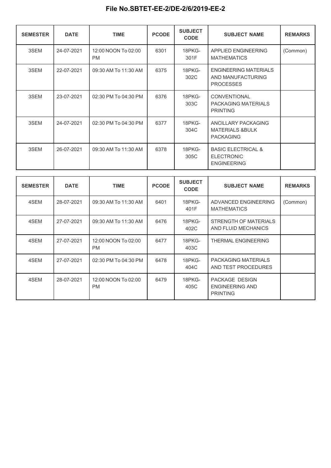| <b>SEMESTER</b> | <b>DATE</b> | <b>TIME</b>                      | <b>PCODE</b> | <b>SUBJECT</b><br><b>CODE</b> | <b>SUBJECT NAME</b>                                                      | <b>REMARKS</b> |
|-----------------|-------------|----------------------------------|--------------|-------------------------------|--------------------------------------------------------------------------|----------------|
| 3SEM            | 24-07-2021  | 12:00 NOON To 02:00<br><b>PM</b> | 6301         | 18PKG-<br>301F                | APPLIED ENGINEERING<br><b>MATHEMATICS</b>                                | (Common)       |
| 3SEM            | 22-07-2021  | 09:30 AM To 11:30 AM             | 6375         | 18PKG-<br>302C                | <b>ENGINEERING MATERIALS</b><br>AND MANUFACTURING<br><b>PROCESSES</b>    |                |
| 3SEM            | 23-07-2021  | 02:30 PM To 04:30 PM             | 6376         | 18PKG-<br>303C                | CONVENTIONAL<br>PACKAGING MATERIALS<br><b>PRINTING</b>                   |                |
| 3SEM            | 24-07-2021  | 02:30 PM To 04:30 PM             | 6377         | 18PKG-<br>304C                | ANCILLARY PACKAGING<br><b>MATERIALS &amp;BULK</b><br><b>PACKAGING</b>    |                |
| 3SEM            | 26-07-2021  | 09:30 AM To 11:30 AM             | 6378         | 18PKG-<br>305C                | <b>BASIC ELECTRICAL &amp;</b><br><b>ELECTRONIC</b><br><b>ENGINEERING</b> |                |

| <b>SEMESTER</b> | <b>DATE</b> | <b>TIME</b>                      | <b>PCODE</b> | <b>SUBJECT</b><br><b>CODE</b> | <b>SUBJECT NAME</b>                                         | <b>REMARKS</b> |
|-----------------|-------------|----------------------------------|--------------|-------------------------------|-------------------------------------------------------------|----------------|
| 4SEM            | 28-07-2021  | 09:30 AM To 11:30 AM             | 6401         | 18PKG-<br>401F                | ADVANCED ENGINEERING<br><b>MATHEMATICS</b>                  | (Common)       |
| 4SEM            | 27-07-2021  | 09:30 AM To 11:30 AM             | 6476         | 18PKG-<br>402C                | STRENGTH OF MATERIALS<br>AND FLUID MECHANICS                |                |
| 4SEM            | 27-07-2021  | 12:00 NOON To 02:00<br><b>PM</b> | 6477         | 18PKG-<br>403C                | <b>THERMAL ENGINEERING</b>                                  |                |
| 4SEM            | 27-07-2021  | 02:30 PM To 04:30 PM             | 6478         | 18PKG-<br>404C                | PACKAGING MATERIALS<br>AND TEST PROCEDURES                  |                |
| 4SEM            | 28-07-2021  | 12:00 NOON To 02:00<br><b>PM</b> | 6479         | 18PKG-<br>405C                | PACKAGE DESIGN<br><b>ENGINEERING AND</b><br><b>PRINTING</b> |                |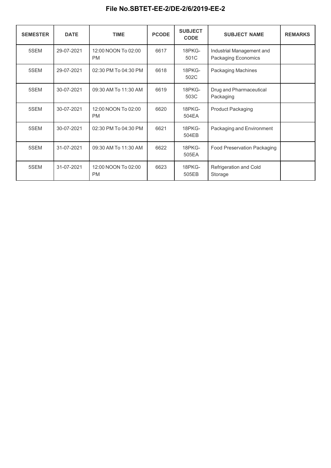| <b>SEMESTER</b> | <b>DATE</b> | <b>TIME</b>                      | <b>PCODE</b> | <b>SUBJECT</b><br><b>CODE</b> | <b>SUBJECT NAME</b>                              | <b>REMARKS</b> |
|-----------------|-------------|----------------------------------|--------------|-------------------------------|--------------------------------------------------|----------------|
| 5SEM            | 29-07-2021  | 12:00 NOON To 02:00<br><b>PM</b> | 6617         | 18PKG-<br>501C                | Industrial Management and<br>Packaging Economics |                |
| 5SEM            | 29-07-2021  | 02:30 PM To 04:30 PM             | 6618         | 18PKG-<br>502C                | Packaging Machines                               |                |
| 5SEM            | 30-07-2021  | 09:30 AM To 11:30 AM             | 6619         | 18PKG-<br>503C                | Drug and Pharmaceutical<br>Packaging             |                |
| 5SEM            | 30-07-2021  | 12:00 NOON To 02:00<br><b>PM</b> | 6620         | 18PKG-<br>504EA               | <b>Product Packaging</b>                         |                |
| 5SEM            | 30-07-2021  | 02:30 PM To 04:30 PM             | 6621         | 18PKG-<br>504EB               | Packaging and Environment                        |                |
| 5SEM            | 31-07-2021  | 09:30 AM To 11:30 AM             | 6622         | 18PKG-<br>505EA               | <b>Food Preservation Packaging</b>               |                |
| 5SEM            | 31-07-2021  | 12:00 NOON To 02:00<br><b>PM</b> | 6623         | 18PKG-<br>505EB               | Refrigeration and Cold<br>Storage                |                |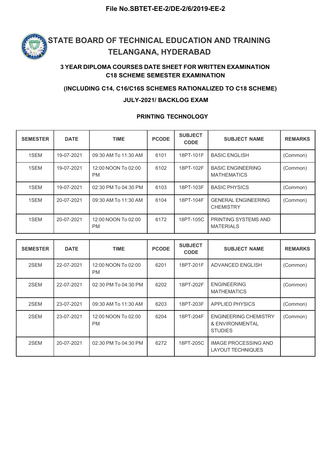

### 3 YEAR DIPLOMA COURSES DATE SHEET FOR WRITTEN EXAMINATION C18 SCHEME SEMESTER EXAMINATION

#### (INCLUDING C14, C16/C16S SCHEMES RATIONALIZED TO C18 SCHEME)

#### JULY-2021/ BACKLOG EXAM

#### PRINTING TECHNOLOGY

| <b>SEMESTER</b> | <b>DATE</b> | <b>TIME</b>                      | <b>PCODE</b> | <b>SUBJECT</b><br><b>CODE</b> | <b>SUBJECT NAME</b>                            | <b>REMARKS</b> |
|-----------------|-------------|----------------------------------|--------------|-------------------------------|------------------------------------------------|----------------|
| 1SEM            | 19-07-2021  | 09:30 AM To 11:30 AM             | 6101         | 18PT-101F                     | <b>BASIC ENGLISH</b>                           | (Common)       |
| 1SEM            | 19-07-2021  | 12:00 NOON To 02:00<br><b>PM</b> | 6102         | 18PT-102F                     | <b>BASIC ENGINEERING</b><br><b>MATHEMATICS</b> | (Common)       |
| 1SEM            | 19-07-2021  | 02:30 PM To 04:30 PM             | 6103         | 18PT-103F                     | <b>BASIC PHYSICS</b>                           | (Common)       |
| 1SEM            | 20-07-2021  | 09:30 AM To 11:30 AM             | 6104         | 18PT-104F                     | <b>GENERAL ENGINEERING</b><br><b>CHEMISTRY</b> | (Common)       |
| 1SEM            | 20-07-2021  | 12:00 NOON To 02:00<br><b>PM</b> | 6172         | 18PT-105C                     | PRINTING SYSTEMS AND<br><b>MATERIALS</b>       |                |

| <b>SEMESTER</b> | <b>DATE</b> | <b>TIME</b>                      | <b>PCODE</b> | <b>SUBJECT</b><br><b>CODE</b> | <b>SUBJECT NAME</b>                                               | <b>REMARKS</b> |
|-----------------|-------------|----------------------------------|--------------|-------------------------------|-------------------------------------------------------------------|----------------|
| 2SEM            | 22-07-2021  | 12:00 NOON To 02:00<br><b>PM</b> | 6201         | 18PT-201F                     | ADVANCED ENGLISH                                                  | (Common)       |
| 2SEM            | 22-07-2021  | 02:30 PM To 04:30 PM             | 6202         | 18PT-202F                     | <b>ENGINEERING</b><br><b>MATHEMATICS</b>                          | (Common)       |
| 2SEM            | 23-07-2021  | 09:30 AM To 11:30 AM             | 6203         | 18PT-203F                     | <b>APPLIED PHYSICS</b>                                            | (Common)       |
| 2SEM            | 23-07-2021  | 12:00 NOON To 02:00<br><b>PM</b> | 6204         | 18PT-204F                     | <b>ENGINEERING CHEMISTRY</b><br>& ENVIRONMENTAL<br><b>STUDIES</b> | (Common)       |
| 2SEM            | 20-07-2021  | 02:30 PM To 04:30 PM             | 6272         | 18PT-205C                     | <b>IMAGE PROCESSING AND</b><br>LAYOUT TECHNIQUES                  |                |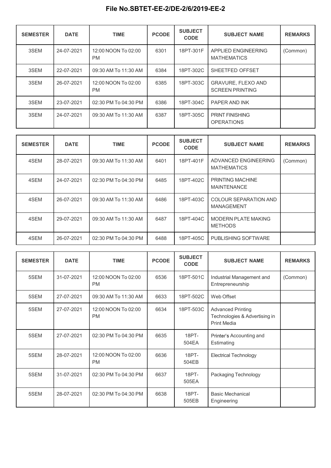| <b>SEMESTER</b> | <b>DATE</b> | <b>TIME</b>                      | <b>PCODE</b> | <b>SUBJECT</b><br><b>CODE</b> | <b>SUBJECT NAME</b>                          | <b>REMARKS</b> |
|-----------------|-------------|----------------------------------|--------------|-------------------------------|----------------------------------------------|----------------|
| 3SEM            | 24-07-2021  | 12:00 NOON To 02:00<br><b>PM</b> | 6301         | 18PT-301F                     | APPLIED ENGINEERING<br><b>MATHEMATICS</b>    | (Common)       |
| 3SEM            | 22-07-2021  | 09:30 AM To 11:30 AM             | 6384         | 18PT-302C                     | SHEETFED OFFSET                              |                |
| 3SEM            | 26-07-2021  | 12:00 NOON To 02:00<br><b>PM</b> | 6385         | 18PT-303C                     | GRAVURE, FLEXO AND<br><b>SCREEN PRINTING</b> |                |
| 3SEM            | 23-07-2021  | 02:30 PM To 04:30 PM             | 6386         | 18PT-304C                     | PAPER AND INK                                |                |
| 3SEM            | 24-07-2021  | 09:30 AM To 11:30 AM             | 6387         | 18PT-305C                     | <b>PRINT FINISHING</b><br><b>OPERATIONS</b>  |                |

| <b>SEMESTER</b> | <b>DATE</b> | <b>TIME</b>          | <b>PCODE</b> | <b>SUBJECT</b><br><b>CODE</b> | <b>SUBJECT NAME</b>                           | <b>REMARKS</b> |
|-----------------|-------------|----------------------|--------------|-------------------------------|-----------------------------------------------|----------------|
| 4SEM            | 28-07-2021  | 09:30 AM To 11:30 AM | 6401         | 18PT-401F                     | ADVANCED ENGINEERING<br><b>MATHEMATICS</b>    | (Common)       |
| 4SEM            | 24-07-2021  | 02:30 PM To 04:30 PM | 6485         | 18PT-402C                     | <b>PRINTING MACHINE</b><br><b>MAINTENANCE</b> |                |
| 4SEM            | 26-07-2021  | 09:30 AM To 11:30 AM | 6486         | 18PT-403C                     | COLOUR SEPARATION AND<br><b>MANAGEMENT</b>    |                |
| 4SEM            | 29-07-2021  | 09:30 AM To 11:30 AM | 6487         | 18PT-404C                     | <b>MODERN PLATE MAKING</b><br><b>METHODS</b>  |                |
| 4SEM            | 26-07-2021  | 02:30 PM To 04:30 PM | 6488         | 18PT-405C                     | PUBLISHING SOFTWARE                           |                |

| <b>SEMESTER</b> | <b>DATE</b> | <b>TIME</b>                      | <b>PCODE</b> | <b>SUBJECT</b><br><b>CODE</b> | <b>SUBJECT NAME</b>                                                             | <b>REMARKS</b> |
|-----------------|-------------|----------------------------------|--------------|-------------------------------|---------------------------------------------------------------------------------|----------------|
| 5SEM            | 31-07-2021  | 12:00 NOON To 02:00<br><b>PM</b> | 6536         | 18PT-501C                     | Industrial Management and<br>Entrepreneurship                                   | (Common)       |
| 5SEM            | 27-07-2021  | 09:30 AM To 11:30 AM             | 6633         | 18PT-502C                     | Web Offset                                                                      |                |
| 5SEM            | 27-07-2021  | 12:00 NOON To 02:00<br><b>PM</b> | 6634         | 18PT-503C                     | <b>Advanced Printing</b><br>Technologies & Advertising in<br><b>Print Media</b> |                |
| 5SEM            | 27-07-2021  | 02:30 PM To 04:30 PM             | 6635         | 18PT-<br>504EA                | Printer's Accounting and<br>Estimating                                          |                |
| 5SEM            | 28-07-2021  | 12:00 NOON To 02:00<br><b>PM</b> | 6636         | 18PT-<br>504EB                | <b>Electrical Technology</b>                                                    |                |
| 5SEM            | 31-07-2021  | 02:30 PM To 04:30 PM             | 6637         | 18PT-<br>505EA                | Packaging Technology                                                            |                |
| 5SEM            | 28-07-2021  | 02:30 PM To 04:30 PM             | 6638         | 18PT-<br>505EB                | <b>Basic Mechanical</b><br>Engineering                                          |                |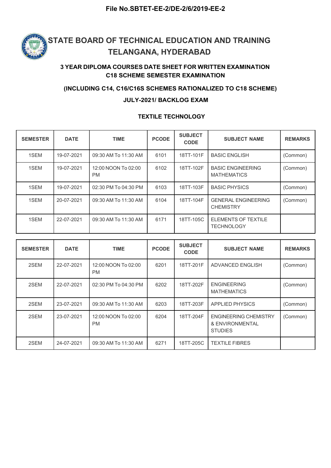

### 3 YEAR DIPLOMA COURSES DATE SHEET FOR WRITTEN EXAMINATION C18 SCHEME SEMESTER EXAMINATION

#### (INCLUDING C14, C16/C16S SCHEMES RATIONALIZED TO C18 SCHEME)

#### JULY-2021/ BACKLOG EXAM

#### TEXTILE TECHNOLOGY

| <b>SEMESTER</b> | <b>DATE</b> | <b>TIME</b>                      | <b>PCODE</b> | <b>SUBJECT</b><br><b>CODE</b> | <b>SUBJECT NAME</b>                            | <b>REMARKS</b> |
|-----------------|-------------|----------------------------------|--------------|-------------------------------|------------------------------------------------|----------------|
| 1SEM            | 19-07-2021  | 09:30 AM To 11:30 AM             | 6101         | 18TT-101F                     | <b>BASIC ENGLISH</b>                           | (Common)       |
| 1SEM            | 19-07-2021  | 12:00 NOON To 02:00<br><b>PM</b> | 6102         | 18TT-102F                     | <b>BASIC ENGINEERING</b><br><b>MATHEMATICS</b> | (Common)       |
| 1SEM            | 19-07-2021  | 02:30 PM To 04:30 PM             | 6103         | 18TT-103F                     | <b>BASIC PHYSICS</b>                           | (Common)       |
| 1SEM            | 20-07-2021  | 09:30 AM To 11:30 AM             | 6104         | 18TT-104F                     | <b>GENERAL ENGINEERING</b><br><b>CHEMISTRY</b> | (Common)       |
| 1SEM            | 22-07-2021  | 09:30 AM To 11:30 AM             | 6171         | 18TT-105C                     | ELEMENTS OF TEXTILE<br><b>TECHNOLOGY</b>       |                |

| <b>SEMESTER</b> | <b>DATE</b> | <b>TIME</b>                      | <b>PCODE</b> | <b>SUBJECT</b><br><b>CODE</b> | <b>SUBJECT NAME</b>                                               | <b>REMARKS</b> |
|-----------------|-------------|----------------------------------|--------------|-------------------------------|-------------------------------------------------------------------|----------------|
| 2SEM            | 22-07-2021  | 12:00 NOON To 02:00<br><b>PM</b> | 6201         | 18TT-201F                     | ADVANCED ENGLISH                                                  | (Common)       |
| 2SEM            | 22-07-2021  | 02:30 PM To 04:30 PM             | 6202         | 18TT-202F                     | <b>ENGINEERING</b><br><b>MATHEMATICS</b>                          | (Common)       |
| 2SEM            | 23-07-2021  | 09:30 AM To 11:30 AM             | 6203         | 18TT-203F                     | <b>APPLIED PHYSICS</b>                                            | (Common)       |
| 2SEM            | 23-07-2021  | 12:00 NOON To 02:00<br><b>PM</b> | 6204         | 18TT-204F                     | <b>ENGINEERING CHEMISTRY</b><br>& ENVIRONMENTAL<br><b>STUDIES</b> | (Common)       |
| 2SEM            | 24-07-2021  | 09:30 AM To 11:30 AM             | 6271         | 18TT-205C                     | <b>TEXTILE FIBRES</b>                                             |                |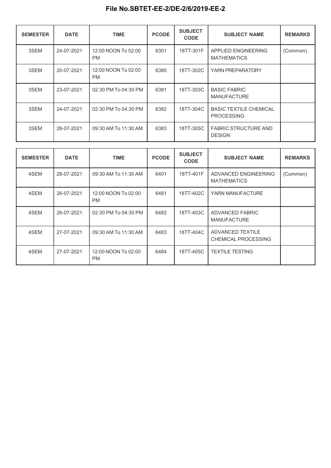| <b>SEMESTER</b> | <b>DATE</b> | <b>TIME</b>                      | <b>PCODE</b> | <b>SUBJECT</b><br><b>CODE</b> | <b>SUBJECT NAME</b>                                | <b>REMARKS</b> |
|-----------------|-------------|----------------------------------|--------------|-------------------------------|----------------------------------------------------|----------------|
| 3SEM            | 24-07-2021  | 12:00 NOON To 02:00<br><b>PM</b> | 6301         | 18TT-301F                     | APPLIED ENGINEERING<br><b>MATHEMATICS</b>          | (Common)       |
| 3SEM            | 20-07-2021  | 12:00 NOON To 02:00<br><b>PM</b> | 6380         | 18TT-302C                     | YARN PREPARATORY                                   |                |
| 3SEM            | 23-07-2021  | 02:30 PM To 04:30 PM             | 6381         | 18TT-303C                     | <b>BASIC FABRIC</b><br><b>MANUFACTURE</b>          |                |
| 3SEM            | 24-07-2021  | 02:30 PM To 04:30 PM             | 6382         | 18TT-304C                     | <b>BASIC TEXTILE CHEMICAL</b><br><b>PROCESSING</b> |                |
| 3SEM            | 26-07-2021  | 09:30 AM To 11:30 AM             | 6383         | 18TT-305C                     | <b>FABRIC STRUCTURE AND</b><br><b>DESIGN</b>       |                |

| <b>SEMESTER</b> | <b>DATE</b> | <b>TIME</b>                      | <b>PCODE</b> | <b>SUBJECT</b><br><b>CODE</b> | <b>SUBJECT NAME</b>                        | <b>REMARKS</b> |  |
|-----------------|-------------|----------------------------------|--------------|-------------------------------|--------------------------------------------|----------------|--|
| 4SEM            | 28-07-2021  | 09:30 AM To 11:30 AM             | 6401         | 18TT-401F                     | ADVANCED ENGINEERING<br><b>MATHEMATICS</b> | (Common)       |  |
| 4SEM            | 26-07-2021  | 12:00 NOON To 02:00<br><b>PM</b> | 6481         | 18TT-402C                     | YARN MANUFACTURE                           |                |  |
| 4SEM            | 26-07-2021  | 02:30 PM To 04:30 PM             | 6482         | 18TT-403C                     | ADVANCED FABRIC<br><b>MANUFACTURE</b>      |                |  |
| 4SEM            | 27-07-2021  | 09:30 AM To 11:30 AM             | 6483         | 18TT-404C                     | ADVANCED TEXTILE<br>CHEMICAL PROCESSING    |                |  |
| 4SEM            | 27-07-2021  | 12:00 NOON To 02:00<br><b>PM</b> | 6484         | 18TT-405C                     | <b>TEXTILE TESTING</b>                     |                |  |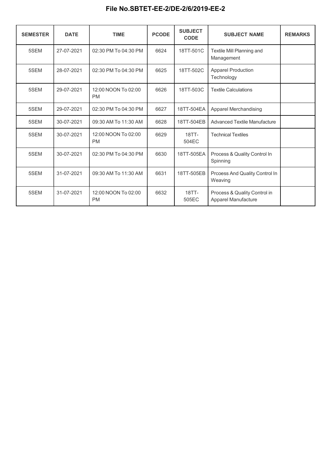| <b>SEMESTER</b> | <b>DATE</b> | <b>TIME</b>                      | <b>PCODE</b> | <b>SUBJECT</b><br><b>CODE</b> | <b>SUBJECT NAME</b>                                 | <b>REMARKS</b> |
|-----------------|-------------|----------------------------------|--------------|-------------------------------|-----------------------------------------------------|----------------|
| 5SEM            | 27-07-2021  | 02:30 PM To 04:30 PM             | 6624         | 18TT-501C                     | Textile Mill Planning and<br>Management             |                |
| 5SEM            | 28-07-2021  | 02:30 PM To 04:30 PM             | 6625         | 18TT-502C                     | <b>Apparel Production</b><br>Technology             |                |
| 5SEM            | 29-07-2021  | 12:00 NOON To 02:00<br><b>PM</b> | 6626         | 18TT-503C                     | <b>Textile Calculations</b>                         |                |
| 5SEM            | 29-07-2021  | 02:30 PM To 04:30 PM             | 6627         | 18TT-504EA                    | Apparel Merchandising                               |                |
| 5SEM            | 30-07-2021  | 09:30 AM To 11:30 AM             | 6628         | 18TT-504EB                    | <b>Advanced Textile Manufacture</b>                 |                |
| 5SEM            | 30-07-2021  | 12:00 NOON To 02:00<br><b>PM</b> | 6629         | 18TT-<br>504EC                | <b>Technical Textiles</b>                           |                |
| 5SEM            | 30-07-2021  | 02:30 PM To 04:30 PM             | 6630         | 18TT-505EA                    | Process & Quality Control In<br>Spinning            |                |
| 5SEM            | 31-07-2021  | 09:30 AM To 11:30 AM             | 6631         | 18TT-505EB                    | Prcoess And Quality Control In<br>Weaving           |                |
| 5SEM            | 31-07-2021  | 12:00 NOON To 02:00<br><b>PM</b> | 6632         | 18TT-<br>505EC                | Process & Quality Control in<br>Apparel Manufacture |                |